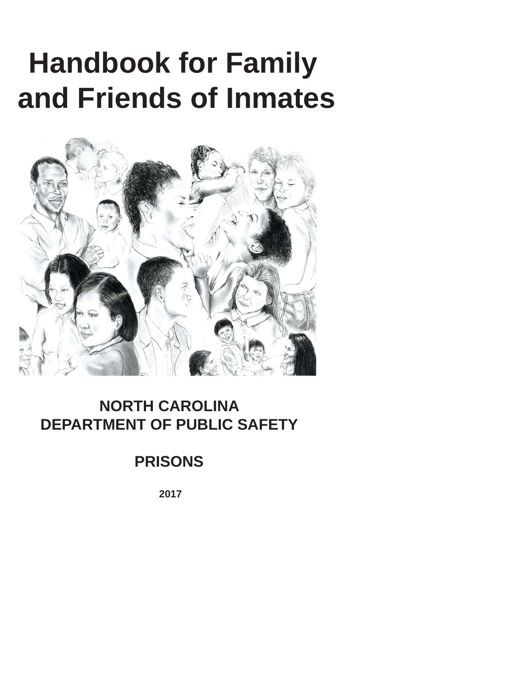# **Handbook for Family and Friends of Inmates**



### **NORTH CAROLINA DEPARTMENT OF PUBLIC SAFETY**

### **PRISONS**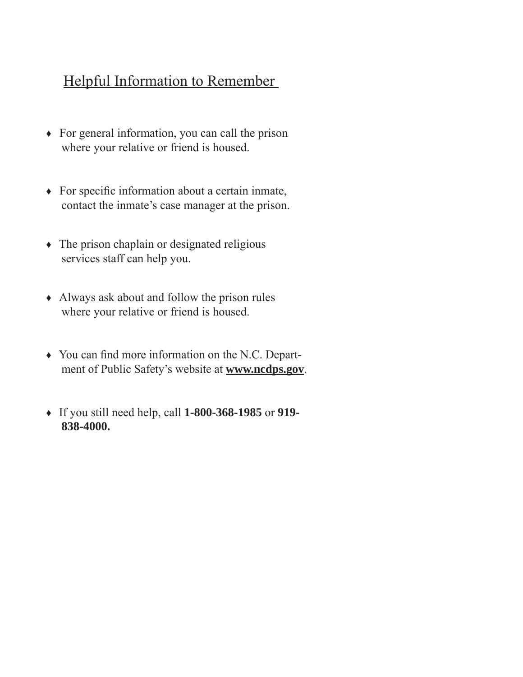### Helpful Information to Remember

- ♦ For general information, you can call the prison where your relative or friend is housed.
- $\bullet$  For specific information about a certain inmate, contact the inmate's case manager at the prison.
- ♦ The prison chaplain or designated religious services staff can help you.
- ♦ Always ask about and follow the prison rules where your relative or friend is housed.
- $\rightarrow$  You can find more information on the N.C. Department of Public Safety's website at **www.ncdps.gov**.
- ♦ If you still need help, call **1-800-368-1985** or **919- 838-4000.**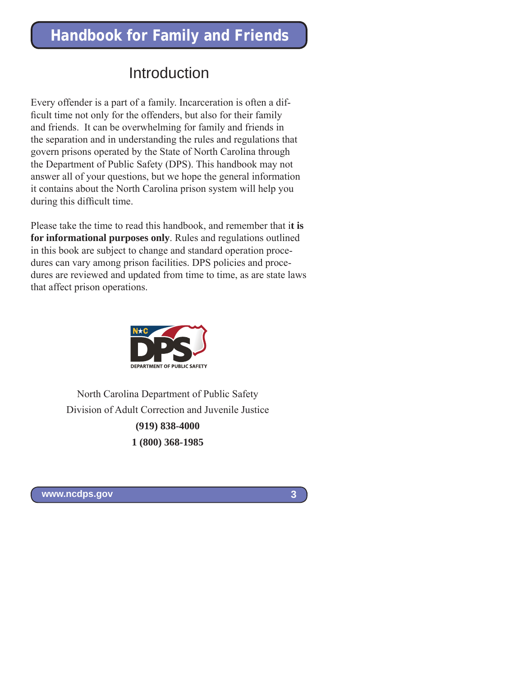### Introduction

Every offender is a part of a family. Incarceration is often a difficult time not only for the offenders, but also for their family and friends. It can be overwhelming for family and friends in the separation and in understanding the rules and regulations that govern prisons operated by the State of North Carolina through the Department of Public Safety (DPS). This handbook may not answer all of your questions, but we hope the general information it contains about the North Carolina prison system will help you during this difficult time.

Please take the time to read this handbook, and remember that i**t is for informational purposes only**. Rules and regulations outlined in this book are subject to change and standard operation procedures can vary among prison facilities. DPS policies and procedures are reviewed and updated from time to time, as are state laws that affect prison operations.



North Carolina Department of Public Safety Division of Adult Correction and Juvenile Justice **(919) 838-4000 1 (800) 368-1985**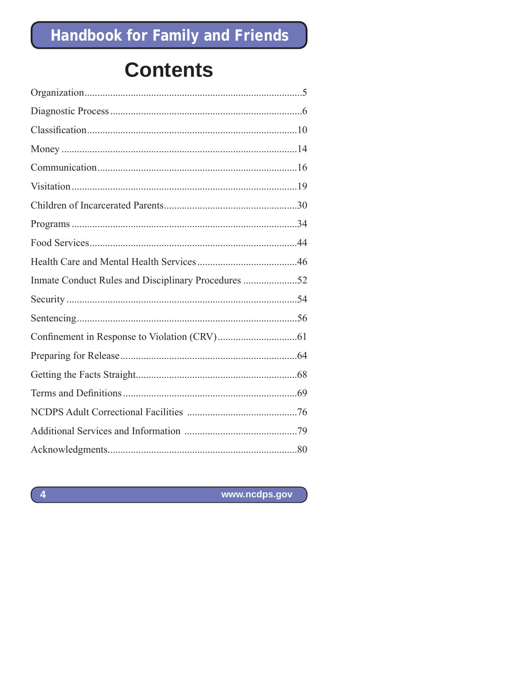## **Contents**

| Inmate Conduct Rules and Disciplinary Procedures 52 |  |
|-----------------------------------------------------|--|
|                                                     |  |
|                                                     |  |
|                                                     |  |
|                                                     |  |
|                                                     |  |
|                                                     |  |
|                                                     |  |
|                                                     |  |
|                                                     |  |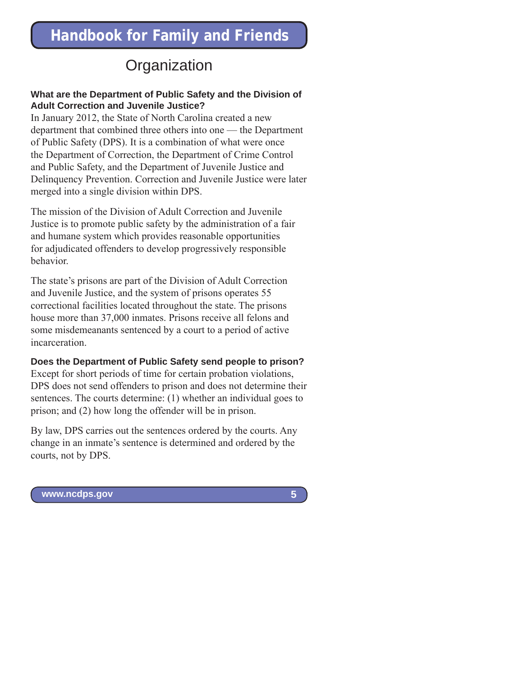### **Organization**

#### **What are the Department of Public Safety and the Division of Adult Correction and Juvenile Justice?**

In January 2012, the State of North Carolina created a new department that combined three others into one — the Department of Public Safety (DPS). It is a combination of what were once the Department of Correction, the Department of Crime Control and Public Safety, and the Department of Juvenile Justice and Delinquency Prevention. Correction and Juvenile Justice were later merged into a single division within DPS.

The mission of the Division of Adult Correction and Juvenile Justice is to promote public safety by the administration of a fair and humane system which provides reasonable opportunities for adjudicated offenders to develop progressively responsible behavior.

The state's prisons are part of the Division of Adult Correction and Juvenile Justice, and the system of prisons operates 55 correctional facilities located throughout the state. The prisons house more than 37,000 inmates. Prisons receive all felons and some misdemeanants sentenced by a court to a period of active incarceration.

#### **Does the Department of Public Safety send people to prison?**

Except for short periods of time for certain probation violations, DPS does not send offenders to prison and does not determine their sentences. The courts determine: (1) whether an individual goes to prison; and (2) how long the offender will be in prison.

By law, DPS carries out the sentences ordered by the courts. Any change in an inmate's sentence is determined and ordered by the courts, not by DPS.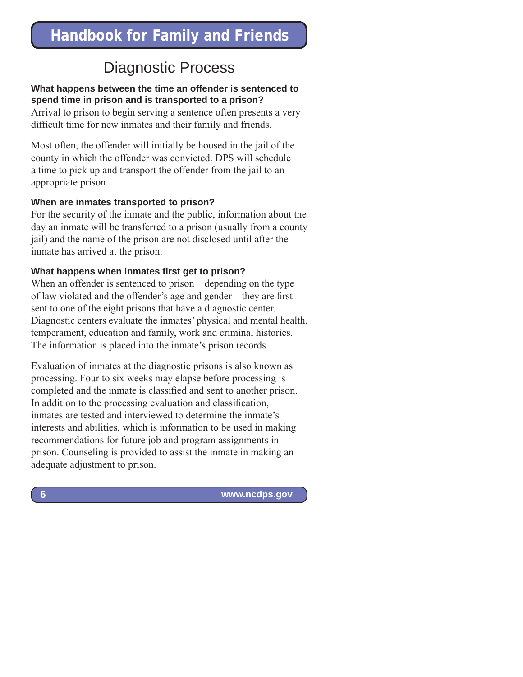### Diagnostic Process

#### **What happens between the time an offender is sentenced to spend time in prison and is transported to a prison?**

Arrival to prison to begin serving a sentence often presents a very difficult time for new inmates and their family and friends.

Most often, the offender will initially be housed in the jail of the county in which the offender was convicted. DPS will schedule a time to pick up and transport the offender from the jail to an appropriate prison.

#### **When are inmates transported to prison?**

For the security of the inmate and the public, information about the day an inmate will be transferred to a prison (usually from a county jail) and the name of the prison are not disclosed until after the inmate has arrived at the prison.

#### **What happens when inmates first get to prison?**

When an offender is sentenced to prison – depending on the type of law violated and the offender's age and gender – they are first sent to one of the eight prisons that have a diagnostic center. Diagnostic centers evaluate the inmates' physical and mental health, temperament, education and family, work and criminal histories. The information is placed into the inmate's prison records.

Evaluation of inmates at the diagnostic prisons is also known as processing. Four to six weeks may elapse before processing is completed and the inmate is classified and sent to another prison. In addition to the processing evaluation and classification, inmates are tested and interviewed to determine the inmate's interests and abilities, which is information to be used in making recommendations for future job and program assignments in prison. Counseling is provided to assist the inmate in making an adequate adjustment to prison.

 **www.ncdps.gov**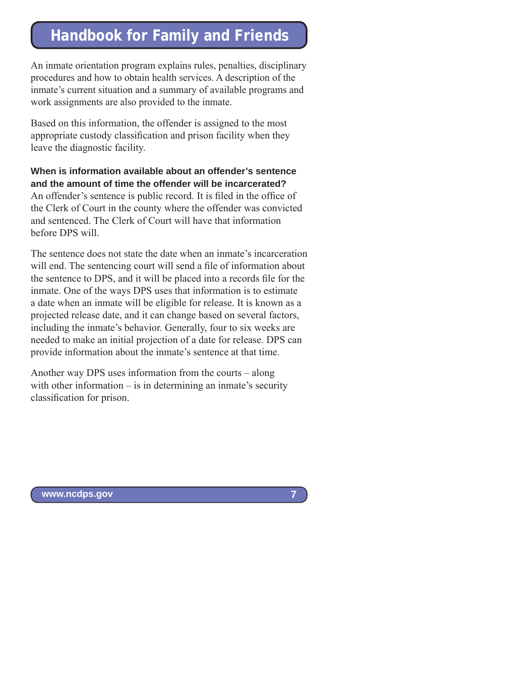An inmate orientation program explains rules, penalties, disciplinary procedures and how to obtain health services. A description of the inmate's current situation and a summary of available programs and work assignments are also provided to the inmate.

Based on this information, the offender is assigned to the most appropriate custody classification and prison facility when they leave the diagnostic facility.

**When is information available about an offender's sentence and the amount of time the offender will be incarcerated?** An offender's sentence is public record. It is filed in the office of the Clerk of Court in the county where the offender was convicted and sentenced. The Clerk of Court will have that information before DPS will.

The sentence does not state the date when an inmate's incarceration will end. The sentencing court will send a file of information about the sentence to DPS, and it will be placed into a records file for the inmate. One of the ways DPS uses that information is to estimate a date when an inmate will be eligible for release. It is known as a projected release date, and it can change based on several factors, including the inmate's behavior. Generally, four to six weeks are needed to make an initial projection of a date for release. DPS can provide information about the inmate's sentence at that time.

Another way DPS uses information from the courts – along with other information – is in determining an inmate's security classification for prison.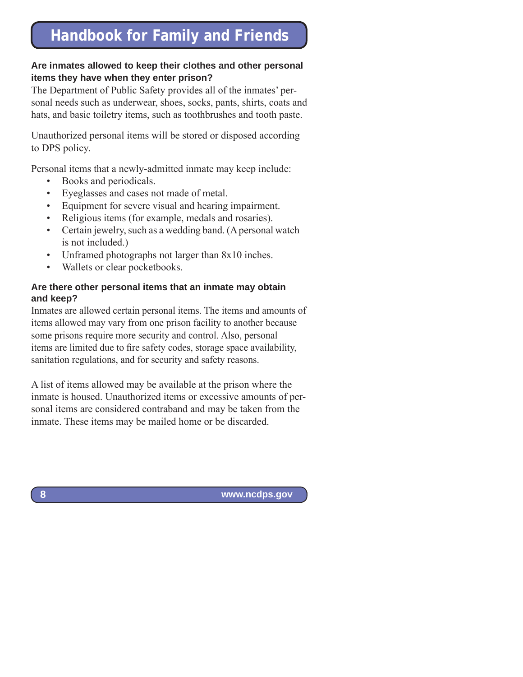#### **Are inmates allowed to keep their clothes and other personal items they have when they enter prison?**

The Department of Public Safety provides all of the inmates' personal needs such as underwear, shoes, socks, pants, shirts, coats and hats, and basic toiletry items, such as toothbrushes and tooth paste.

Unauthorized personal items will be stored or disposed according to DPS policy.

Personal items that a newly-admitted inmate may keep include:

- Books and periodicals.
- Eyeglasses and cases not made of metal.
- Equipment for severe visual and hearing impairment.
- Religious items (for example, medals and rosaries).
- Certain jewelry, such as a wedding band. (A personal watch is not included.)
- Unframed photographs not larger than  $8x10$  inches.
- Wallets or clear pocketbooks.

#### **Are there other personal items that an inmate may obtain and keep?**

Inmates are allowed certain personal items. The items and amounts of items allowed may vary from one prison facility to another because some prisons require more security and control. Also, personal items are limited due to fire safety codes, storage space availability, sanitation regulations, and for security and safety reasons.

A list of items allowed may be available at the prison where the inmate is housed. Unauthorized items or excessive amounts of personal items are considered contraband and may be taken from the inmate. These items may be mailed home or be discarded.

 **www.ncdps.gov**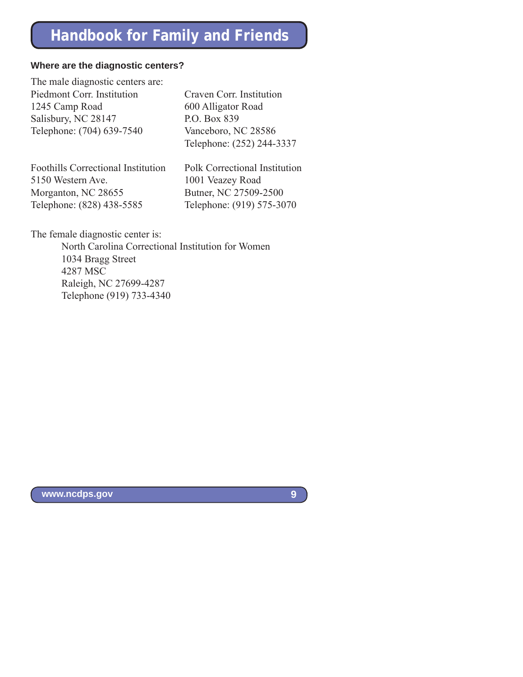#### **Where are the diagnostic centers?**

The male diagnostic centers are: Piedmont Corr. Institution Craven Corr. Institution 1245 Camp Road 600 Alligator Road Salisbury, NC 28147 P.O. Box 839 Telephone: (704) 639-7540 Vanceboro, NC 28586

Foothills Correctional Institution Polk Correctional Institution 5150 Western Ave. 1001 Veazey Road Morganton, NC 28655 Butner, NC 27509-2500 Telephone: (828) 438-5585 Telephone: (919) 575-3070

Telephone: (252) 244-3337

The female diagnostic center is:

 North Carolina Correctional Institution for Women 1034 Bragg Street 4287 MSC Raleigh, NC 27699-4287 Telephone (919) 733-4340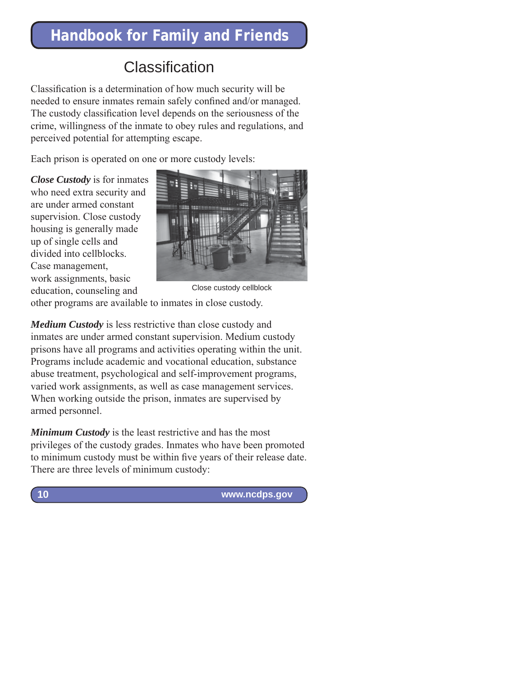### Classification

Classification is a determination of how much security will be needed to ensure inmates remain safely confined and/or managed. The custody classification level depends on the seriousness of the crime, willingness of the inmate to obey rules and regulations, and perceived potential for attempting escape.

Each prison is operated on one or more custody levels:

*Close Custody* is for inmates who need extra security and are under armed constant supervision. Close custody housing is generally made up of single cells and divided into cellblocks. Case management, work assignments, basic education, counseling and



Close custody cellblock

other programs are available to inmates in close custody.

*Medium Custody* is less restrictive than close custody and inmates are under armed constant supervision. Medium custody prisons have all programs and activities operating within the unit. Programs include academic and vocational education, substance abuse treatment, psychological and self-improvement programs, varied work assignments, as well as case management services. When working outside the prison, inmates are supervised by armed personnel.

*Minimum Custody* is the least restrictive and has the most privileges of the custody grades. Inmates who have been promoted to minimum custody must be within five years of their release date. There are three levels of minimum custody:

 **www.ncdps.gov**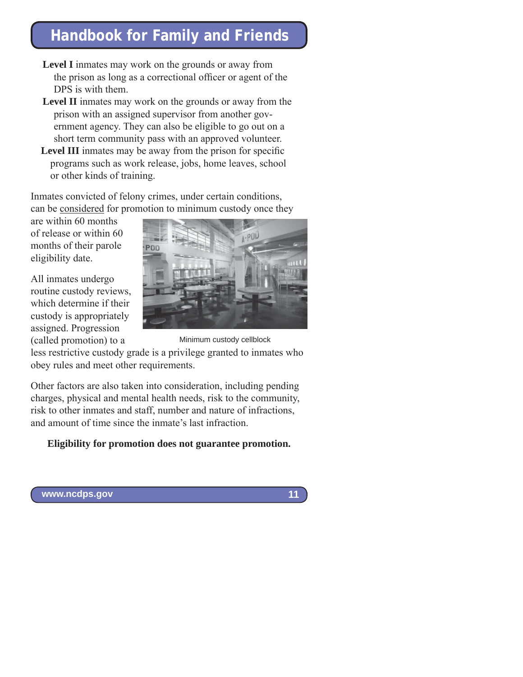- **Level I** inmates may work on the grounds or away from the prison as long as a correctional officer or agent of the DPS is with them.
- **Level II** inmates may work on the grounds or away from the prison with an assigned supervisor from another government agency. They can also be eligible to go out on a short term community pass with an approved volunteer.
- **Level III** inmates may be away from the prison for specific programs such as work release, jobs, home leaves, school or other kinds of training.

Inmates convicted of felony crimes, under certain conditions, can be considered for promotion to minimum custody once they

are within 60 months of release or within 60 months of their parole eligibility date.

All inmates undergo routine custody reviews, which determine if their custody is appropriately assigned. Progression (called promotion) to a



less restrictive custody grade is a privilege granted to inmates who obey rules and meet other requirements. Minimum custody cellblock

Other factors are also taken into consideration, including pending charges, physical and mental health needs, risk to the community, risk to other inmates and staff, number and nature of infractions, and amount of time since the inmate's last infraction.

### **Eligibility for promotion does not guarantee promotion.**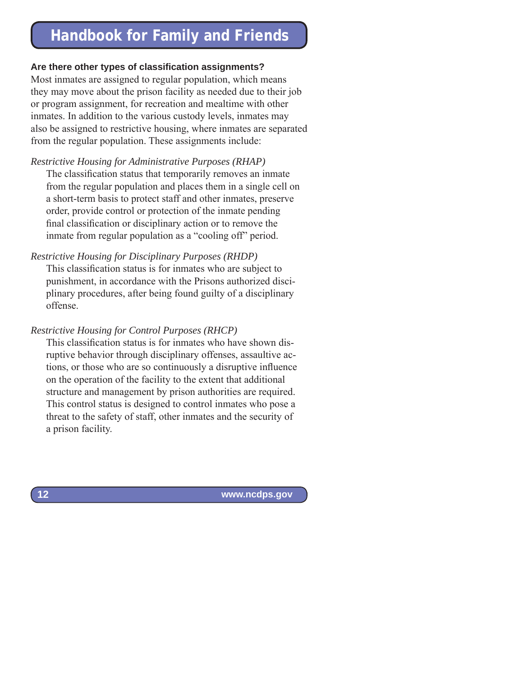#### **Are there other types of classifi cation assignments?**

Most inmates are assigned to regular population, which means they may move about the prison facility as needed due to their job or program assignment, for recreation and mealtime with other inmates. In addition to the various custody levels, inmates may also be assigned to restrictive housing, where inmates are separated from the regular population. These assignments include:

*Restrictive Housing for Administrative Purposes (RHAP)*

The classification status that temporarily removes an inmate from the regular population and places them in a single cell on a short-term basis to protect staff and other inmates, preserve order, provide control or protection of the inmate pending final classification or disciplinary action or to remove the inmate from regular population as a "cooling off" period.

*Restrictive Housing for Disciplinary Purposes (RHDP)*

This classification status is for inmates who are subject to punishment, in accordance with the Prisons authorized disciplinary procedures, after being found guilty of a disciplinary offense.

#### *Restrictive Housing for Control Purposes (RHCP)*

This classification status is for inmates who have shown disruptive behavior through disciplinary offenses, assaultive actions, or those who are so continuously a disruptive influence on the operation of the facility to the extent that additional structure and management by prison authorities are required. This control status is designed to control inmates who pose a threat to the safety of staff, other inmates and the security of a prison facility.

 **www.ncdps.gov**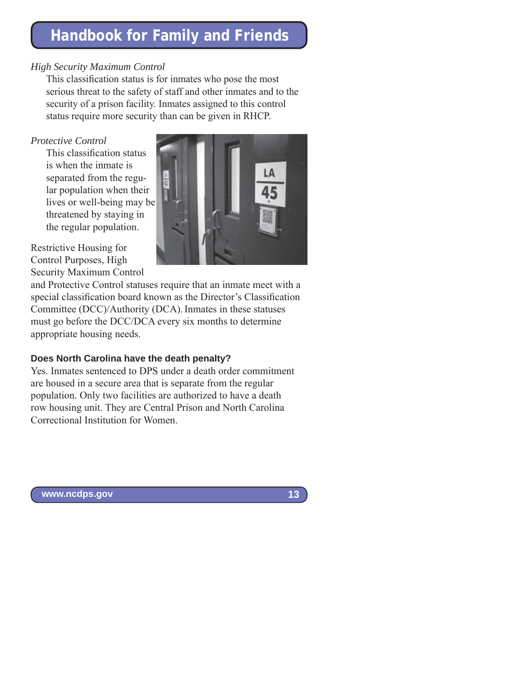#### *High Security Maximum Control*

This classification status is for inmates who pose the most serious threat to the safety of staff and other inmates and to the security of a prison facility. Inmates assigned to this control status require more security than can be given in RHCP.

#### *Protective Control*

This classification status is when the inmate is separated from the regular population when their lives or well-being may be threatened by staying in the regular population.



Restrictive Housing for Control Purposes, High Security Maximum Control

and Protective Control statuses require that an inmate meet with a special classification board known as the Director's Classification Committee (DCC)/Authority (DCA). Inmates in these statuses must go before the DCC/DCA every six months to determine appropriate housing needs.

### **Does North Carolina have the death penalty?**

Yes. Inmates sentenced to DPS under a death order commitment are housed in a secure area that is separate from the regular population. Only two facilities are authorized to have a death row housing unit. They are Central Prison and North Carolina Correctional Institution for Women.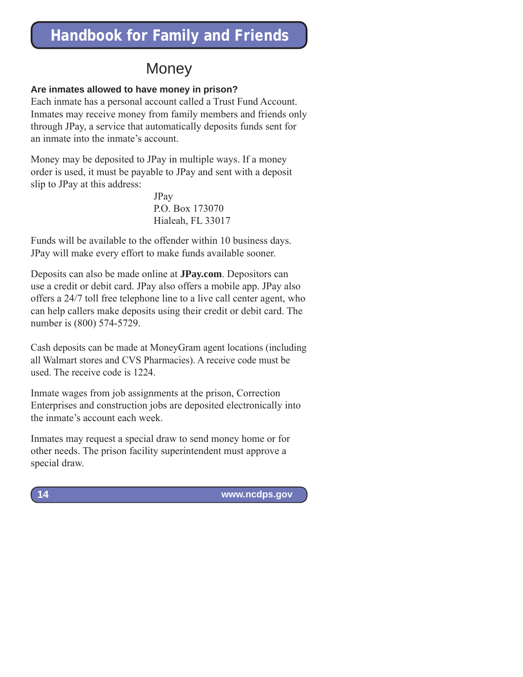### **Money**

### **Are inmates allowed to have money in prison?**

Each inmate has a personal account called a Trust Fund Account. Inmates may receive money from family members and friends only through JPay, a service that automatically deposits funds sent for an inmate into the inmate's account.

Money may be deposited to JPay in multiple ways. If a money order is used, it must be payable to JPay and sent with a deposit slip to JPay at this address:

> JPay P.O. Box 173070 Hialeah, FL 33017

Funds will be available to the offender within 10 business days. JPay will make every effort to make funds available sooner.

Deposits can also be made online at **JPay.com**. Depositors can use a credit or debit card. JPay also offers a mobile app. JPay also offers a 24/7 toll free telephone line to a live call center agent, who can help callers make deposits using their credit or debit card. The number is (800) 574-5729.

Cash deposits can be made at MoneyGram agent locations (including all Walmart stores and CVS Pharmacies). A receive code must be used. The receive code is 1224.

Inmate wages from job assignments at the prison, Correction Enterprises and construction jobs are deposited electronically into the inmate's account each week.

Inmates may request a special draw to send money home or for other needs. The prison facility superintendent must approve a special draw.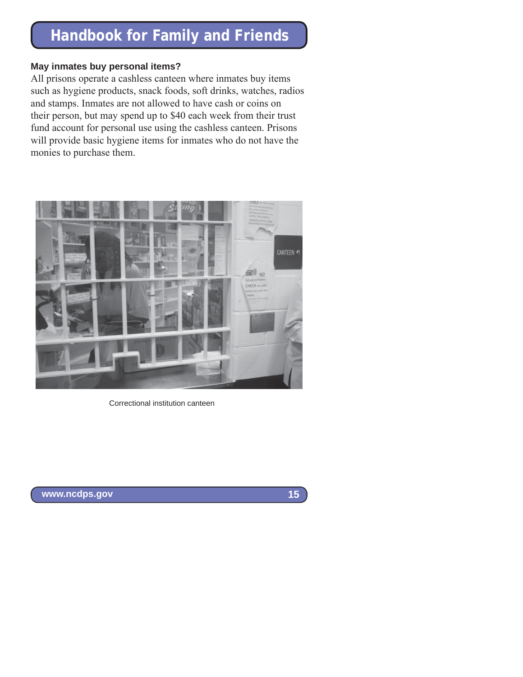#### **May inmates buy personal items?**

All prisons operate a cashless canteen where inmates buy items such as hygiene products, snack foods, soft drinks, watches, radios and stamps. Inmates are not allowed to have cash or coins on their person, but may spend up to \$40 each week from their trust fund account for personal use using the cashless canteen. Prisons will provide basic hygiene items for inmates who do not have the monies to purchase them.



Correctional institution canteen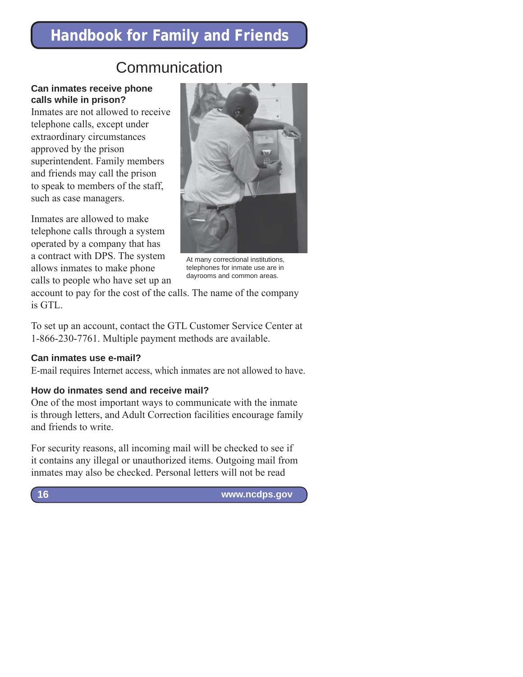### Communication

#### **Can inmates receive phone calls while in prison?**

Inmates are not allowed to receive telephone calls, except under extraordinary circumstances approved by the prison superintendent. Family members and friends may call the prison to speak to members of the staff, such as case managers.

Inmates are allowed to make telephone calls through a system operated by a company that has a contract with DPS. The system allows inmates to make phone calls to people who have set up an



At many correctional institutions, telephones for inmate use are in dayrooms and common areas.

account to pay for the cost of the calls. The name of the company is GTL.

To set up an account, contact the GTL Customer Service Center at 1-866-230-7761. Multiple payment methods are available.

#### **Can inmates use e-mail?**

E-mail requires Internet access, which inmates are not allowed to have.

#### **How do inmates send and receive mail?**

One of the most important ways to communicate with the inmate is through letters, and Adult Correction facilities encourage family and friends to write.

For security reasons, all incoming mail will be checked to see if it contains any illegal or unauthorized items. Outgoing mail from inmates may also be checked. Personal letters will not be read

 **www.ncdps.gov**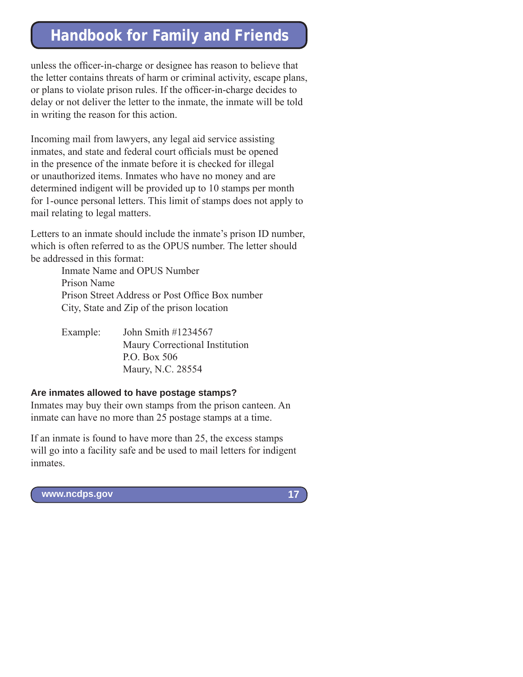unless the officer-in-charge or designee has reason to believe that the letter contains threats of harm or criminal activity, escape plans, or plans to violate prison rules. If the officer-in-charge decides to delay or not deliver the letter to the inmate, the inmate will be told in writing the reason for this action.

Incoming mail from lawyers, any legal aid service assisting inmates, and state and federal court officials must be opened in the presence of the inmate before it is checked for illegal or unauthorized items. Inmates who have no money and are determined indigent will be provided up to 10 stamps per month for 1-ounce personal letters. This limit of stamps does not apply to mail relating to legal matters.

Letters to an inmate should include the inmate's prison ID number, which is often referred to as the OPUS number. The letter should be addressed in this format:

> Inmate Name and OPUS Number Prison Name Prison Street Address or Post Office Box number City, State and Zip of the prison location

Example: John Smith #1234567 Maury Correctional Institution P.O. Box 506 Maury, N.C. 28554

#### **Are inmates allowed to have postage stamps?**

Inmates may buy their own stamps from the prison canteen. An inmate can have no more than 25 postage stamps at a time.

If an inmate is found to have more than 25, the excess stamps will go into a facility safe and be used to mail letters for indigent inmates.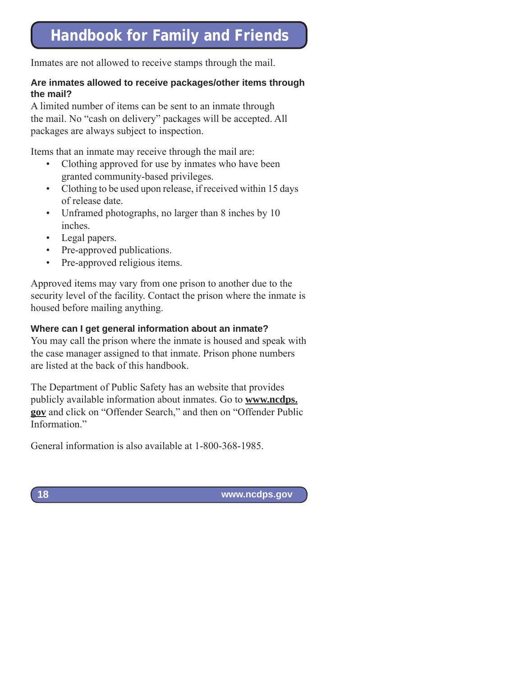Inmates are not allowed to receive stamps through the mail.

#### **Are inmates allowed to receive packages/other items through the mail?**

A limited number of items can be sent to an inmate through the mail. No "cash on delivery" packages will be accepted. All packages are always subject to inspection.

Items that an inmate may receive through the mail are:

- Clothing approved for use by inmates who have been granted community-based privileges.
- Clothing to be used upon release, if received within 15 days of release date.
- Unframed photographs, no larger than 8 inches by 10 inches.
- Legal papers.
- Pre-approved publications.
- Pre-approved religious items.

Approved items may vary from one prison to another due to the security level of the facility. Contact the prison where the inmate is housed before mailing anything.

### **Where can I get general information about an inmate?**

You may call the prison where the inmate is housed and speak with the case manager assigned to that inmate. Prison phone numbers are listed at the back of this handbook.

The Department of Public Safety has an website that provides publicly available information about inmates. Go to **www.ncdps. gov** and click on "Offender Search," and then on "Offender Public Information."

General information is also available at 1-800-368-1985.

**18**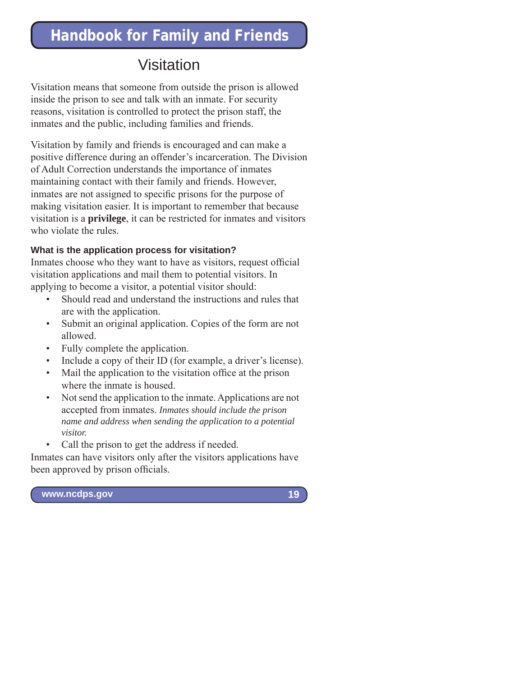### Visitation

Visitation means that someone from outside the prison is allowed inside the prison to see and talk with an inmate. For security reasons, visitation is controlled to protect the prison staff, the inmates and the public, including families and friends.

Visitation by family and friends is encouraged and can make a positive difference during an offender's incarceration. The Division of Adult Correction understands the importance of inmates maintaining contact with their family and friends. However, inmates are not assigned to specific prisons for the purpose of making visitation easier. It is important to remember that because visitation is a **privilege**, it can be restricted for inmates and visitors who violate the rules.

### **What is the application process for visitation?**

Inmates choose who they want to have as visitors, request official visitation applications and mail them to potential visitors. In applying to become a visitor, a potential visitor should:

- Should read and understand the instructions and rules that are with the application.
- Submit an original application. Copies of the form are not allowed.
- Fully complete the application.
- Include a copy of their ID (for example, a driver's license).
- Mail the application to the visitation office at the prison where the inmate is housed.
- Not send the application to the inmate. Applications are not accepted from inmates. *Inmates should include the prison name and address when sending the application to a potential visitor.*
- Call the prison to get the address if needed.

Inmates can have visitors only after the visitors applications have been approved by prison officials.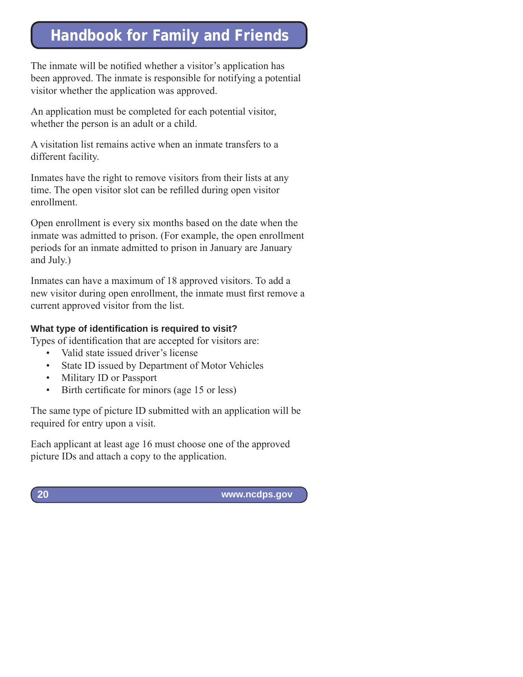The inmate will be notified whether a visitor's application has been approved. The inmate is responsible for notifying a potential visitor whether the application was approved.

An application must be completed for each potential visitor, whether the person is an adult or a child.

A visitation list remains active when an inmate transfers to a different facility.

Inmates have the right to remove visitors from their lists at any time. The open visitor slot can be refilled during open visitor enrollment.

Open enrollment is every six months based on the date when the inmate was admitted to prison. (For example, the open enrollment periods for an inmate admitted to prison in January are January and July.)

Inmates can have a maximum of 18 approved visitors. To add a new visitor during open enrollment, the inmate must first remove a current approved visitor from the list.

### **What type of identification is required to visit?**

Types of identification that are accepted for visitors are:

- Valid state issued driver's license
- State ID issued by Department of Motor Vehicles
- Military ID or Passport
- Birth certificate for minors (age 15 or less)

The same type of picture ID submitted with an application will be required for entry upon a visit.

Each applicant at least age 16 must choose one of the approved picture IDs and attach a copy to the application.

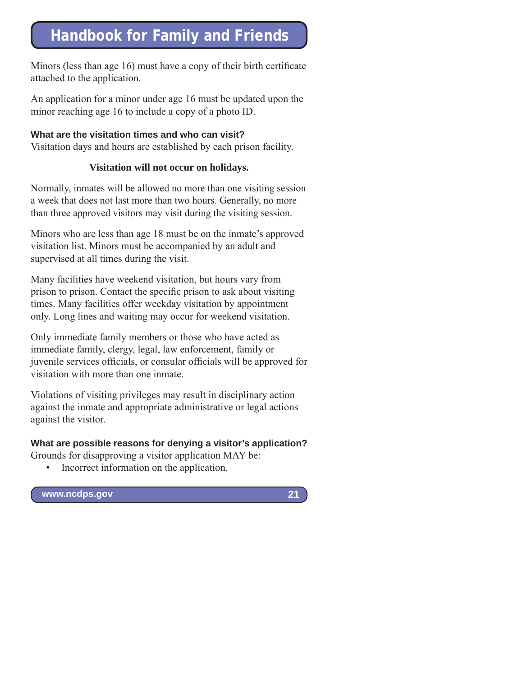Minors (less than age 16) must have a copy of their birth certificate attached to the application.

An application for a minor under age 16 must be updated upon the minor reaching age 16 to include a copy of a photo ID.

### **What are the visitation times and who can visit?**

Visitation days and hours are established by each prison facility.

### **Visitation will not occur on holidays.**

Normally, inmates will be allowed no more than one visiting session a week that does not last more than two hours. Generally, no more than three approved visitors may visit during the visiting session.

Minors who are less than age 18 must be on the inmate's approved visitation list. Minors must be accompanied by an adult and supervised at all times during the visit.

Many facilities have weekend visitation, but hours vary from prison to prison. Contact the specific prison to ask about visiting times. Many facilities offer weekday visitation by appointment only. Long lines and waiting may occur for weekend visitation.

Only immediate family members or those who have acted as immediate family, clergy, legal, law enforcement, family or juvenile services officials, or consular officials will be approved for visitation with more than one inmate.

Violations of visiting privileges may result in disciplinary action against the inmate and appropriate administrative or legal actions against the visitor.

### **What are possible reasons for denying a visitor's application?**

Grounds for disapproving a visitor application MAY be:

• Incorrect information on the application.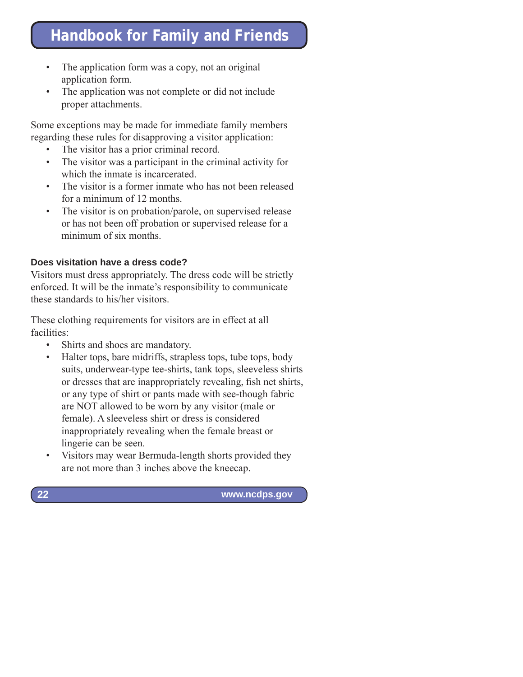- The application form was a copy, not an original application form.
- The application was not complete or did not include proper attachments.

Some exceptions may be made for immediate family members regarding these rules for disapproving a visitor application:

- The visitor has a prior criminal record.
- The visitor was a participant in the criminal activity for which the inmate is incarcerated.
- The visitor is a former inmate who has not been released for a minimum of 12 months.
- The visitor is on probation/parole, on supervised release or has not been off probation or supervised release for a minimum of six months.

### **Does visitation have a dress code?**

Visitors must dress appropriately. The dress code will be strictly enforced. It will be the inmate's responsibility to communicate these standards to his/her visitors.

These clothing requirements for visitors are in effect at all facilities:

• Shirts and shoes are mandatory.

**22**

- Halter tops, bare midriffs, strapless tops, tube tops, body suits, underwear-type tee-shirts, tank tops, sleeveless shirts or dresses that are inappropriately revealing, fish net shirts, or any type of shirt or pants made with see-though fabric are NOT allowed to be worn by any visitor (male or female). A sleeveless shirt or dress is considered inappropriately revealing when the female breast or lingerie can be seen.
- Visitors may wear Bermuda-length shorts provided they are not more than 3 inches above the kneecap.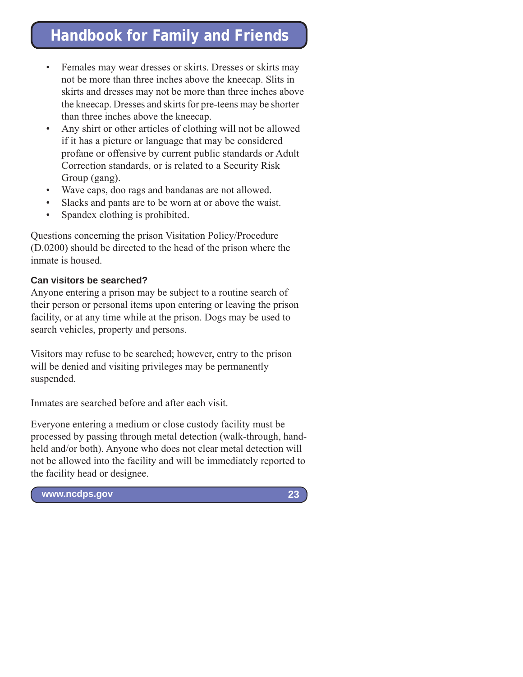- Females may wear dresses or skirts. Dresses or skirts may not be more than three inches above the kneecap. Slits in skirts and dresses may not be more than three inches above the kneecap. Dresses and skirts for pre-teens may be shorter than three inches above the kneecap.
- Any shirt or other articles of clothing will not be allowed if it has a picture or language that may be considered profane or offensive by current public standards or Adult Correction standards, or is related to a Security Risk Group (gang).
- Wave caps, doo rags and bandanas are not allowed.
- Slacks and pants are to be worn at or above the waist.
- Spandex clothing is prohibited.

Questions concerning the prison Visitation Policy/Procedure (D.0200) should be directed to the head of the prison where the inmate is housed.

#### **Can visitors be searched?**

Anyone entering a prison may be subject to a routine search of their person or personal items upon entering or leaving the prison facility, or at any time while at the prison. Dogs may be used to search vehicles, property and persons.

Visitors may refuse to be searched; however, entry to the prison will be denied and visiting privileges may be permanently suspended.

Inmates are searched before and after each visit.

Everyone entering a medium or close custody facility must be processed by passing through metal detection (walk-through, handheld and/or both). Anyone who does not clear metal detection will not be allowed into the facility and will be immediately reported to the facility head or designee.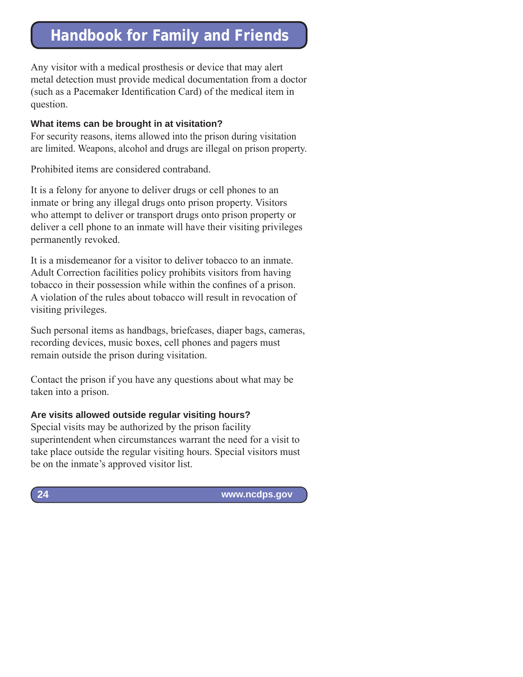Any visitor with a medical prosthesis or device that may alert metal detection must provide medical documentation from a doctor (such as a Pacemaker Identification Card) of the medical item in question.

#### **What items can be brought in at visitation?**

For security reasons, items allowed into the prison during visitation are limited. Weapons, alcohol and drugs are illegal on prison property.

Prohibited items are considered contraband.

It is a felony for anyone to deliver drugs or cell phones to an inmate or bring any illegal drugs onto prison property. Visitors who attempt to deliver or transport drugs onto prison property or deliver a cell phone to an inmate will have their visiting privileges permanently revoked.

It is a misdemeanor for a visitor to deliver tobacco to an inmate. Adult Correction facilities policy prohibits visitors from having tobacco in their possession while within the confines of a prison. A violation of the rules about tobacco will result in revocation of visiting privileges.

Such personal items as handbags, briefcases, diaper bags, cameras, recording devices, music boxes, cell phones and pagers must remain outside the prison during visitation.

Contact the prison if you have any questions about what may be taken into a prison.

### **Are visits allowed outside regular visiting hours?**

Special visits may be authorized by the prison facility superintendent when circumstances warrant the need for a visit to take place outside the regular visiting hours. Special visitors must be on the inmate's approved visitor list.

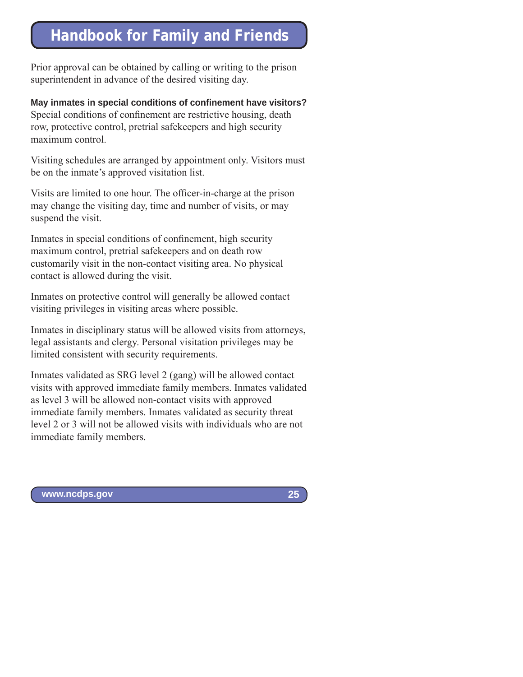Prior approval can be obtained by calling or writing to the prison superintendent in advance of the desired visiting day.

**May inmates in special conditions of confinement have visitors?** Special conditions of confinement are restrictive housing, death row, protective control, pretrial safekeepers and high security maximum control.

Visiting schedules are arranged by appointment only. Visitors must be on the inmate's approved visitation list.

Visits are limited to one hour. The officer-in-charge at the prison may change the visiting day, time and number of visits, or may suspend the visit.

Inmates in special conditions of confinement, high security maximum control, pretrial safekeepers and on death row customarily visit in the non-contact visiting area. No physical contact is allowed during the visit.

Inmates on protective control will generally be allowed contact visiting privileges in visiting areas where possible.

Inmates in disciplinary status will be allowed visits from attorneys, legal assistants and clergy. Personal visitation privileges may be limited consistent with security requirements.

Inmates validated as SRG level 2 (gang) will be allowed contact visits with approved immediate family members. Inmates validated as level 3 will be allowed non-contact visits with approved immediate family members. Inmates validated as security threat level 2 or 3 will not be allowed visits with individuals who are not immediate family members.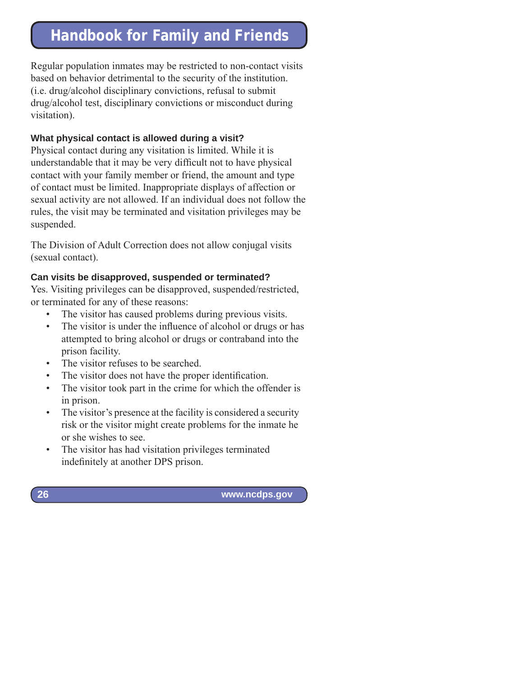Regular population inmates may be restricted to non-contact visits based on behavior detrimental to the security of the institution. (i.e. drug/alcohol disciplinary convictions, refusal to submit drug/alcohol test, disciplinary convictions or misconduct during visitation).

#### **What physical contact is allowed during a visit?**

Physical contact during any visitation is limited. While it is understandable that it may be very difficult not to have physical contact with your family member or friend, the amount and type of contact must be limited. Inappropriate displays of affection or sexual activity are not allowed. If an individual does not follow the rules, the visit may be terminated and visitation privileges may be suspended.

The Division of Adult Correction does not allow conjugal visits (sexual contact).

#### **Can visits be disapproved, suspended or terminated?**

Yes. Visiting privileges can be disapproved, suspended/restricted, or terminated for any of these reasons:

- The visitor has caused problems during previous visits.
- The visitor is under the influence of alcohol or drugs or has attempted to bring alcohol or drugs or contraband into the prison facility.
- The visitor refuses to be searched.
- The visitor does not have the proper identification.
- The visitor took part in the crime for which the offender is in prison.
- The visitor's presence at the facility is considered a security risk or the visitor might create problems for the inmate he or she wishes to see.
- The visitor has had visitation privileges terminated indefinitely at another DPS prison.

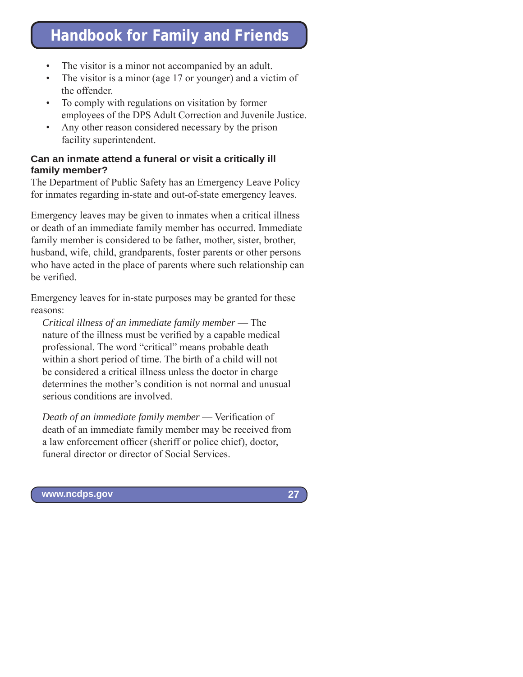- The visitor is a minor not accompanied by an adult.
- The visitor is a minor (age 17 or younger) and a victim of the offender.
- To comply with regulations on visitation by former employees of the DPS Adult Correction and Juvenile Justice.
- Any other reason considered necessary by the prison facility superintendent.

#### **Can an inmate attend a funeral or visit a critically ill family member?**

The Department of Public Safety has an Emergency Leave Policy for inmates regarding in-state and out-of-state emergency leaves.

Emergency leaves may be given to inmates when a critical illness or death of an immediate family member has occurred. Immediate family member is considered to be father, mother, sister, brother, husband, wife, child, grandparents, foster parents or other persons who have acted in the place of parents where such relationship can be verified.

Emergency leaves for in-state purposes may be granted for these reasons:

*Critical illness of an immediate family member* — The nature of the illness must be verified by a capable medical professional. The word "critical" means probable death within a short period of time. The birth of a child will not be considered a critical illness unless the doctor in charge determines the mother's condition is not normal and unusual serious conditions are involved.

*Death of an immediate family member* — Verification of death of an immediate family member may be received from a law enforcement officer (sheriff or police chief), doctor, funeral director or director of Social Services.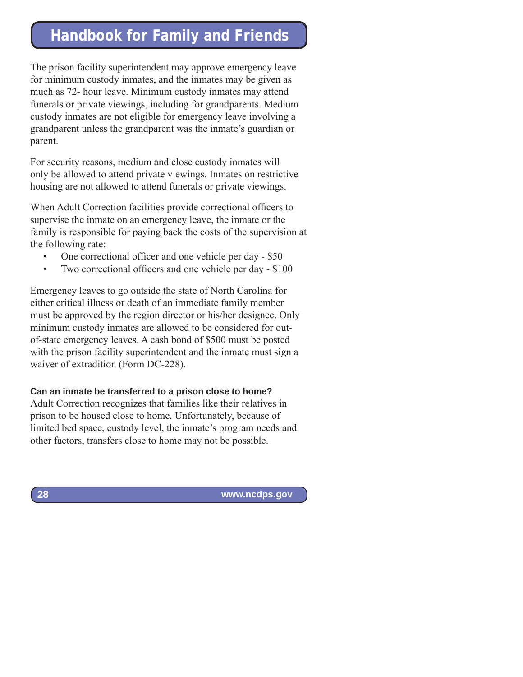The prison facility superintendent may approve emergency leave for minimum custody inmates, and the inmates may be given as much as 72- hour leave. Minimum custody inmates may attend funerals or private viewings, including for grandparents. Medium custody inmates are not eligible for emergency leave involving a grandparent unless the grandparent was the inmate's guardian or parent.

For security reasons, medium and close custody inmates will only be allowed to attend private viewings. Inmates on restrictive housing are not allowed to attend funerals or private viewings.

When Adult Correction facilities provide correctional officers to supervise the inmate on an emergency leave, the inmate or the family is responsible for paying back the costs of the supervision at the following rate:

- One correctional officer and one vehicle per day \$50
- Two correctional officers and one vehicle per day \$100

Emergency leaves to go outside the state of North Carolina for either critical illness or death of an immediate family member must be approved by the region director or his/her designee. Only minimum custody inmates are allowed to be considered for outof-state emergency leaves. A cash bond of \$500 must be posted with the prison facility superintendent and the inmate must sign a waiver of extradition (Form DC-228).

#### **Can an inmate be transferred to a prison close to home?**

Adult Correction recognizes that families like their relatives in prison to be housed close to home. Unfortunately, because of limited bed space, custody level, the inmate's program needs and other factors, transfers close to home may not be possible.

 **www.ncdps.gov**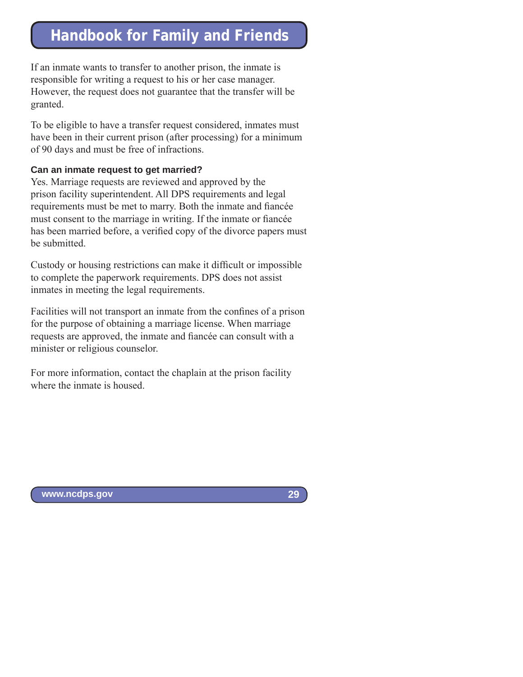If an inmate wants to transfer to another prison, the inmate is responsible for writing a request to his or her case manager. However, the request does not guarantee that the transfer will be granted.

To be eligible to have a transfer request considered, inmates must have been in their current prison (after processing) for a minimum of 90 days and must be free of infractions.

#### **Can an inmate request to get married?**

Yes. Marriage requests are reviewed and approved by the prison facility superintendent. All DPS requirements and legal requirements must be met to marry. Both the inmate and fiancée must consent to the marriage in writing. If the inmate or fiancée has been married before, a verified copy of the divorce papers must be submitted.

Custody or housing restrictions can make it difficult or impossible to complete the paperwork requirements. DPS does not assist inmates in meeting the legal requirements.

Facilities will not transport an inmate from the confines of a prison for the purpose of obtaining a marriage license. When marriage requests are approved, the inmate and fiancée can consult with a minister or religious counselor.

For more information, contact the chaplain at the prison facility where the inmate is housed.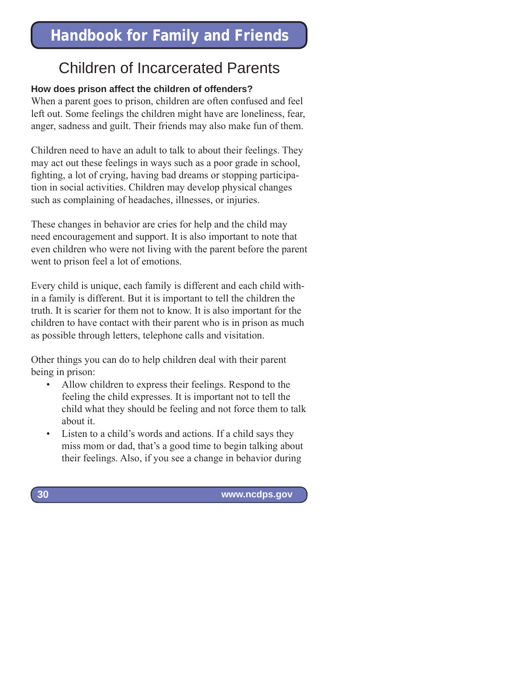### Children of Incarcerated Parents

### **How does prison affect the children of offenders?**

When a parent goes to prison, children are often confused and feel left out. Some feelings the children might have are loneliness, fear, anger, sadness and guilt. Their friends may also make fun of them.

Children need to have an adult to talk to about their feelings. They may act out these feelings in ways such as a poor grade in school, fighting, a lot of crying, having bad dreams or stopping participation in social activities. Children may develop physical changes such as complaining of headaches, illnesses, or injuries.

These changes in behavior are cries for help and the child may need encouragement and support. It is also important to note that even children who were not living with the parent before the parent went to prison feel a lot of emotions.

Every child is unique, each family is different and each child within a family is different. But it is important to tell the children the truth. It is scarier for them not to know. It is also important for the children to have contact with their parent who is in prison as much as possible through letters, telephone calls and visitation.

Other things you can do to help children deal with their parent being in prison:

- Allow children to express their feelings. Respond to the feeling the child expresses. It is important not to tell the child what they should be feeling and not force them to talk about it.
- Listen to a child's words and actions. If a child says they miss mom or dad, that's a good time to begin talking about their feelings. Also, if you see a change in behavior during

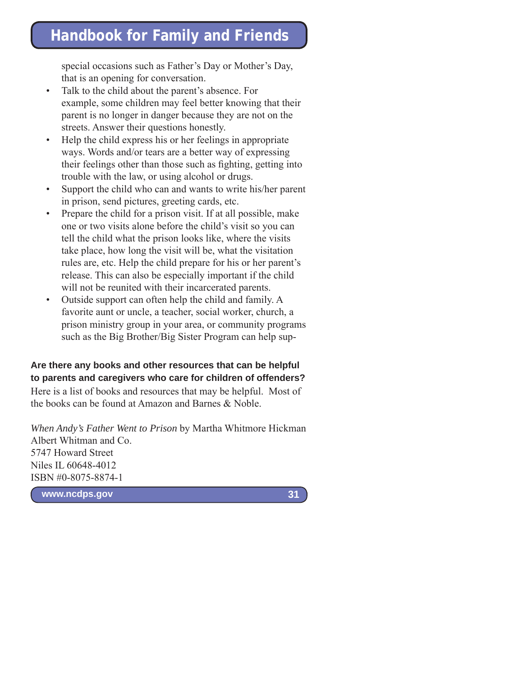special occasions such as Father's Day or Mother's Day, that is an opening for conversation.

- Talk to the child about the parent's absence. For example, some children may feel better knowing that their parent is no longer in danger because they are not on the streets. Answer their questions honestly.
- Help the child express his or her feelings in appropriate ways. Words and/or tears are a better way of expressing their feelings other than those such as fighting, getting into trouble with the law, or using alcohol or drugs.
- Support the child who can and wants to write his/her parent in prison, send pictures, greeting cards, etc.
- Prepare the child for a prison visit. If at all possible, make one or two visits alone before the child's visit so you can tell the child what the prison looks like, where the visits take place, how long the visit will be, what the visitation rules are, etc. Help the child prepare for his or her parent's release. This can also be especially important if the child will not be reunited with their incarcerated parents.
- Outside support can often help the child and family. A favorite aunt or uncle, a teacher, social worker, church, a prison ministry group in your area, or community programs such as the Big Brother/Big Sister Program can help sup-

#### **Are there any books and other resources that can be helpful to parents and caregivers who care for children of offenders?**

Here is a list of books and resources that may be helpful. Most of the books can be found at Amazon and Barnes & Noble.

*When Andy's Father Went to Prison* by Martha Whitmore Hickman Albert Whitman and Co. 5747 Howard Street Niles IL 60648-4012 ISBN #0-8075-8874-1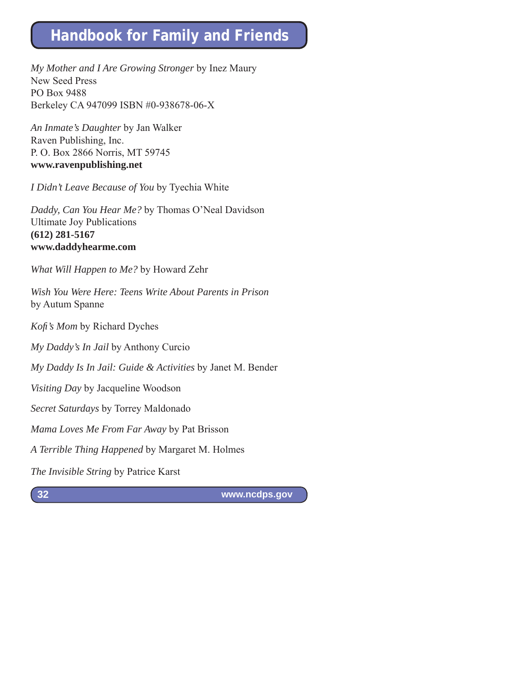*My Mother and I Are Growing Stronger* by Inez Maury New Seed Press PO Box 9488 Berkeley CA 947099 ISBN #0-938678-06-X

*An Inmate's Daughter* by Jan Walker Raven Publishing, Inc. P. O. Box 2866 Norris, MT 59745 **www.ravenpublishing.net**

*I Didn't Leave Because of You* by Tyechia White

*Daddy, Can You Hear Me?* by Thomas O'Neal Davidson Ultimate Joy Publications **(612) 281-5167 www.daddyhearme.com**

*What Will Happen to Me?* by Howard Zehr

*Wish You Were Here: Teens Write About Parents in Prison* by Autum Spanne

*Kofi 's Mom* by Richard Dyches

*My Daddy's In Jail* by Anthony Curcio

*My Daddy Is In Jail: Guide & Activities* by Janet M. Bender

*Visiting Day* by Jacqueline Woodson

*Secret Saturdays* by Torrey Maldonado

*Mama Loves Me From Far Away* by Pat Brisson

*A Terrible Thing Happened* by Margaret M. Holmes

*The Invisible String* by Patrice Karst

**32**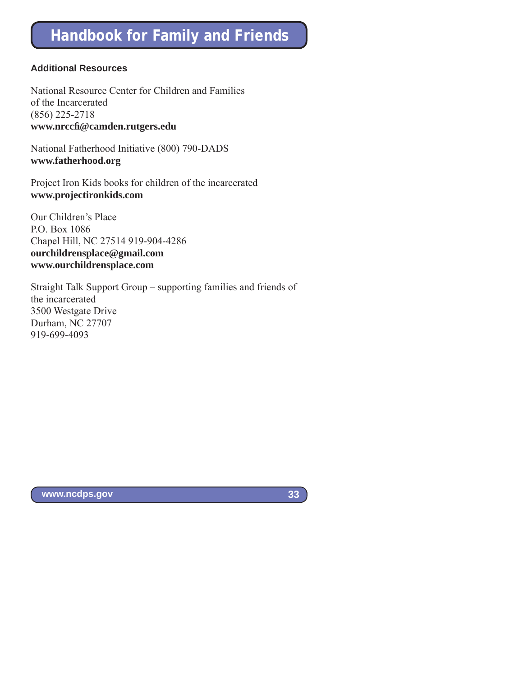#### **Additional Resources**

National Resource Center for Children and Families of the Incarcerated (856) 225-2718 **www.nrccfi @camden.rutgers.edu**

National Fatherhood Initiative (800) 790-DADS **www.fatherhood.org**

Project Iron Kids books for children of the incarcerated **www.projectironkids.com**

Our Children's Place P.O. Box 1086 Chapel Hill, NC 27514 919-904-4286 **ourchildrensplace@gmail.com www.ourchildrensplace.com**

Straight Talk Support Group – supporting families and friends of the incarcerated 3500 Westgate Drive Durham, NC 27707 919-699-4093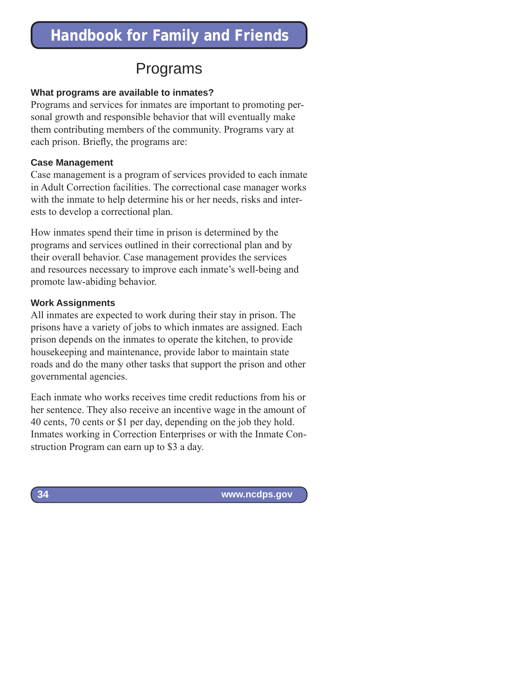### Programs

#### **What programs are available to inmates?**

Programs and services for inmates are important to promoting personal growth and responsible behavior that will eventually make them contributing members of the community. Programs vary at each prison. Briefly, the programs are:

#### **Case Management**

Case management is a program of services provided to each inmate in Adult Correction facilities. The correctional case manager works with the inmate to help determine his or her needs, risks and interests to develop a correctional plan.

How inmates spend their time in prison is determined by the programs and services outlined in their correctional plan and by their overall behavior. Case management provides the services and resources necessary to improve each inmate's well-being and promote law-abiding behavior.

#### **Work Assignments**

All inmates are expected to work during their stay in prison. The prisons have a variety of jobs to which inmates are assigned. Each prison depends on the inmates to operate the kitchen, to provide housekeeping and maintenance, provide labor to maintain state roads and do the many other tasks that support the prison and other governmental agencies.

Each inmate who works receives time credit reductions from his or her sentence. They also receive an incentive wage in the amount of 40 cents, 70 cents or \$1 per day, depending on the job they hold. Inmates working in Correction Enterprises or with the Inmate Construction Program can earn up to \$3 a day.

 **www.ncdps.gov**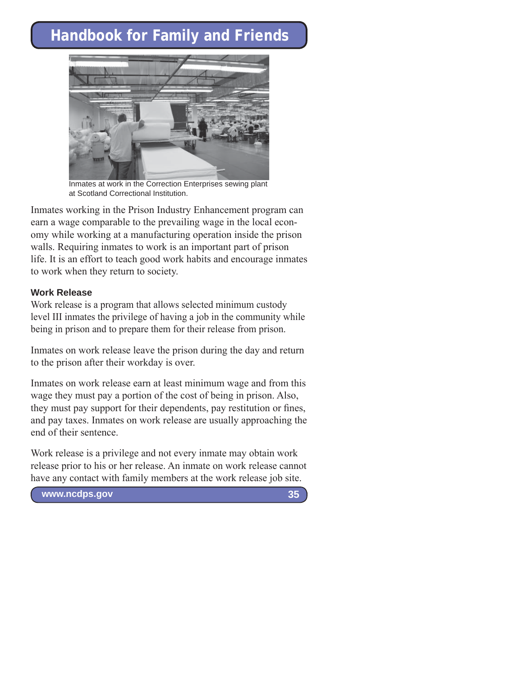

Inmates at work in the Correction Enterprises sewing plant at Scotland Correctional Institution.

Inmates working in the Prison Industry Enhancement program can earn a wage comparable to the prevailing wage in the local economy while working at a manufacturing operation inside the prison walls. Requiring inmates to work is an important part of prison life. It is an effort to teach good work habits and encourage inmates to work when they return to society.

#### **Work Release**

Work release is a program that allows selected minimum custody level III inmates the privilege of having a job in the community while being in prison and to prepare them for their release from prison.

Inmates on work release leave the prison during the day and return to the prison after their workday is over.

Inmates on work release earn at least minimum wage and from this wage they must pay a portion of the cost of being in prison. Also, they must pay support for their dependents, pay restitution or fines, and pay taxes. Inmates on work release are usually approaching the end of their sentence.

Work release is a privilege and not every inmate may obtain work release prior to his or her release. An inmate on work release cannot have any contact with family members at the work release job site.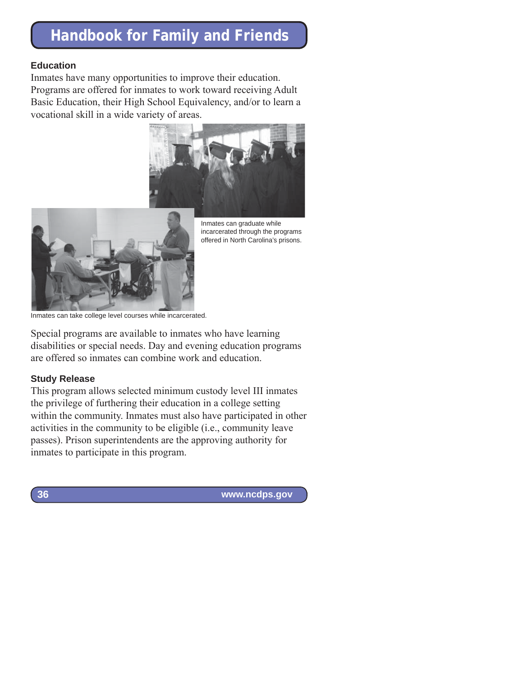#### **Education**

Inmates have many opportunities to improve their education. Programs are offered for inmates to work toward receiving Adult Basic Education, their High School Equivalency, and/or to learn a vocational skill in a wide variety of areas.





Inmates can graduate while incarcerated through the programs offered in North Carolina's prisons.

Inmates can take college level courses while incarcerated.

Special programs are available to inmates who have learning disabilities or special needs. Day and evening education programs are offered so inmates can combine work and education.

#### **Study Release**

This program allows selected minimum custody level III inmates the privilege of furthering their education in a college setting within the community. Inmates must also have participated in other activities in the community to be eligible (i.e., community leave passes). Prison superintendents are the approving authority for inmates to participate in this program.

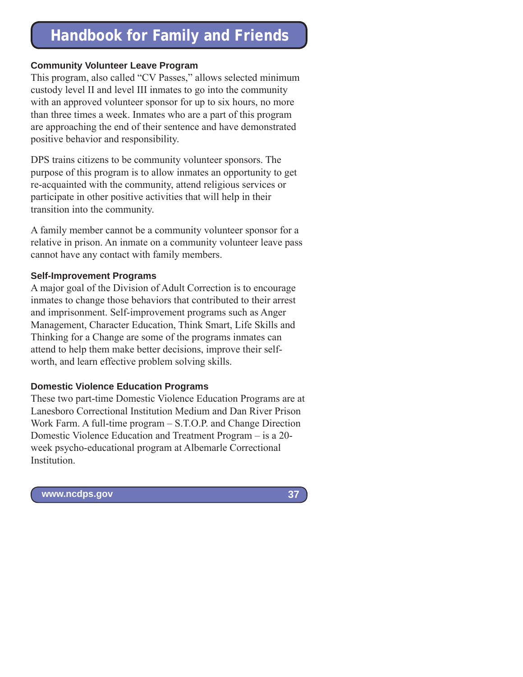#### **Community Volunteer Leave Program**

This program, also called "CV Passes," allows selected minimum custody level II and level III inmates to go into the community with an approved volunteer sponsor for up to six hours, no more than three times a week. Inmates who are a part of this program are approaching the end of their sentence and have demonstrated positive behavior and responsibility.

DPS trains citizens to be community volunteer sponsors. The purpose of this program is to allow inmates an opportunity to get re-acquainted with the community, attend religious services or participate in other positive activities that will help in their transition into the community.

A family member cannot be a community volunteer sponsor for a relative in prison. An inmate on a community volunteer leave pass cannot have any contact with family members.

#### **Self-Improvement Programs**

A major goal of the Division of Adult Correction is to encourage inmates to change those behaviors that contributed to their arrest and imprisonment. Self-improvement programs such as Anger Management, Character Education, Think Smart, Life Skills and Thinking for a Change are some of the programs inmates can attend to help them make better decisions, improve their selfworth, and learn effective problem solving skills.

#### **Domestic Violence Education Programs**

These two part-time Domestic Violence Education Programs are at Lanesboro Correctional Institution Medium and Dan River Prison Work Farm. A full-time program – S.T.O.P. and Change Direction Domestic Violence Education and Treatment Program – is a 20 week psycho-educational program at Albemarle Correctional Institution.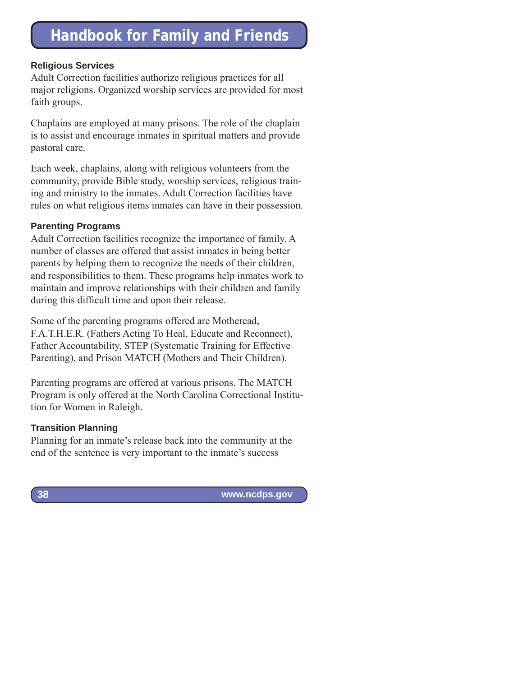#### **Religious Services**

Adult Correction facilities authorize religious practices for all major religions. Organized worship services are provided for most faith groups.

Chaplains are employed at many prisons. The role of the chaplain is to assist and encourage inmates in spiritual matters and provide pastoral care.

Each week, chaplains, along with religious volunteers from the community, provide Bible study, worship services, religious training and ministry to the inmates. Adult Correction facilities have rules on what religious items inmates can have in their possession.

#### **Parenting Programs**

Adult Correction facilities recognize the importance of family. A number of classes are offered that assist inmates in being better parents by helping them to recognize the needs of their children, and responsibilities to them. These programs help inmates work to maintain and improve relationships with their children and family during this difficult time and upon their release.

Some of the parenting programs offered are Motheread, F.A.T.H.E.R. (Fathers Acting To Heal, Educate and Reconnect), Father Accountability, STEP (Systematic Training for Effective Parenting), and Prison MATCH (Mothers and Their Children).

Parenting programs are offered at various prisons. The MATCH Program is only offered at the North Carolina Correctional Institution for Women in Raleigh.

#### **Transition Planning**

Planning for an inmate's release back into the community at the end of the sentence is very important to the inmate's success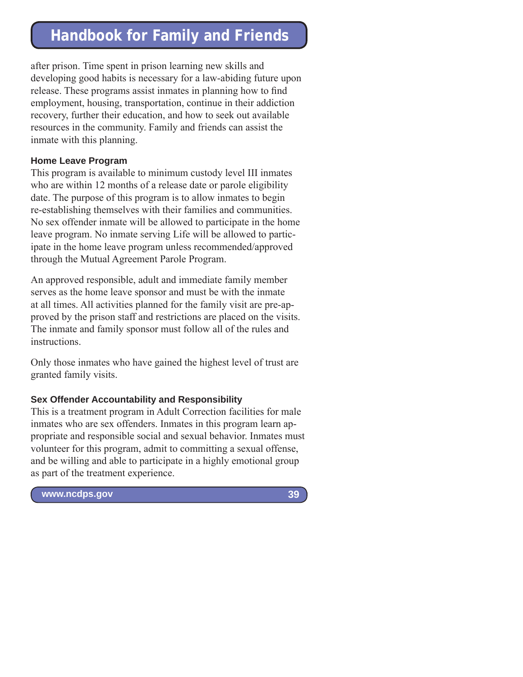after prison. Time spent in prison learning new skills and developing good habits is necessary for a law-abiding future upon release. These programs assist inmates in planning how to find employment, housing, transportation, continue in their addiction recovery, further their education, and how to seek out available resources in the community. Family and friends can assist the inmate with this planning.

#### **Home Leave Program**

This program is available to minimum custody level III inmates who are within 12 months of a release date or parole eligibility date. The purpose of this program is to allow inmates to begin re-establishing themselves with their families and communities. No sex offender inmate will be allowed to participate in the home leave program. No inmate serving Life will be allowed to participate in the home leave program unless recommended/approved through the Mutual Agreement Parole Program.

An approved responsible, adult and immediate family member serves as the home leave sponsor and must be with the inmate at all times. All activities planned for the family visit are pre-approved by the prison staff and restrictions are placed on the visits. The inmate and family sponsor must follow all of the rules and instructions.

Only those inmates who have gained the highest level of trust are granted family visits.

#### **Sex Offender Accountability and Responsibility**

This is a treatment program in Adult Correction facilities for male inmates who are sex offenders. Inmates in this program learn appropriate and responsible social and sexual behavior. Inmates must volunteer for this program, admit to committing a sexual offense, and be willing and able to participate in a highly emotional group as part of the treatment experience.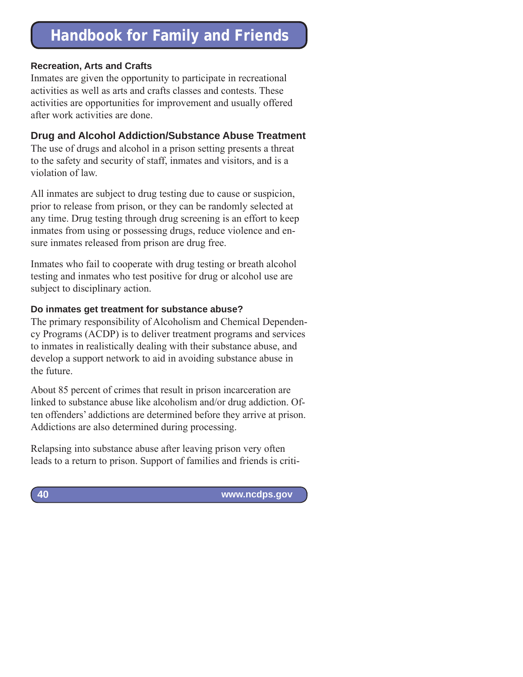#### **Recreation, Arts and Crafts**

Inmates are given the opportunity to participate in recreational activities as well as arts and crafts classes and contests. These activities are opportunities for improvement and usually offered after work activities are done.

### **Drug and Alcohol Addiction/Substance Abuse Treatment**

The use of drugs and alcohol in a prison setting presents a threat to the safety and security of staff, inmates and visitors, and is a violation of law.

All inmates are subject to drug testing due to cause or suspicion, prior to release from prison, or they can be randomly selected at any time. Drug testing through drug screening is an effort to keep inmates from using or possessing drugs, reduce violence and ensure inmates released from prison are drug free.

Inmates who fail to cooperate with drug testing or breath alcohol testing and inmates who test positive for drug or alcohol use are subject to disciplinary action.

#### **Do inmates get treatment for substance abuse?**

The primary responsibility of Alcoholism and Chemical Dependency Programs (ACDP) is to deliver treatment programs and services to inmates in realistically dealing with their substance abuse, and develop a support network to aid in avoiding substance abuse in the future.

About 85 percent of crimes that result in prison incarceration are linked to substance abuse like alcoholism and/or drug addiction. Often offenders' addictions are determined before they arrive at prison. Addictions are also determined during processing.

Relapsing into substance abuse after leaving prison very often leads to a return to prison. Support of families and friends is criti-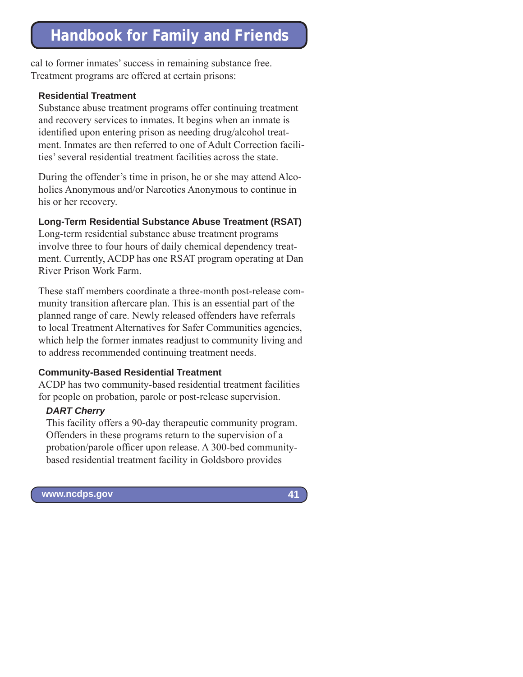cal to former inmates' success in remaining substance free. Treatment programs are offered at certain prisons:

#### **Residential Treatment**

Substance abuse treatment programs offer continuing treatment and recovery services to inmates. It begins when an inmate is identified upon entering prison as needing drug/alcohol treatment. Inmates are then referred to one of Adult Correction facilities' several residential treatment facilities across the state.

During the offender's time in prison, he or she may attend Alcoholics Anonymous and/or Narcotics Anonymous to continue in his or her recovery.

#### **Long-Term Residential Substance Abuse Treatment (RSAT)**

Long-term residential substance abuse treatment programs involve three to four hours of daily chemical dependency treatment. Currently, ACDP has one RSAT program operating at Dan River Prison Work Farm.

These staff members coordinate a three-month post-release community transition aftercare plan. This is an essential part of the planned range of care. Newly released offenders have referrals to local Treatment Alternatives for Safer Communities agencies, which help the former inmates readjust to community living and to address recommended continuing treatment needs.

#### **Community-Based Residential Treatment**

ACDP has two community-based residential treatment facilities for people on probation, parole or post-release supervision.

### *DART Cherry*

This facility offers a 90-day therapeutic community program. Offenders in these programs return to the supervision of a probation/parole officer upon release. A 300-bed communitybased residential treatment facility in Goldsboro provides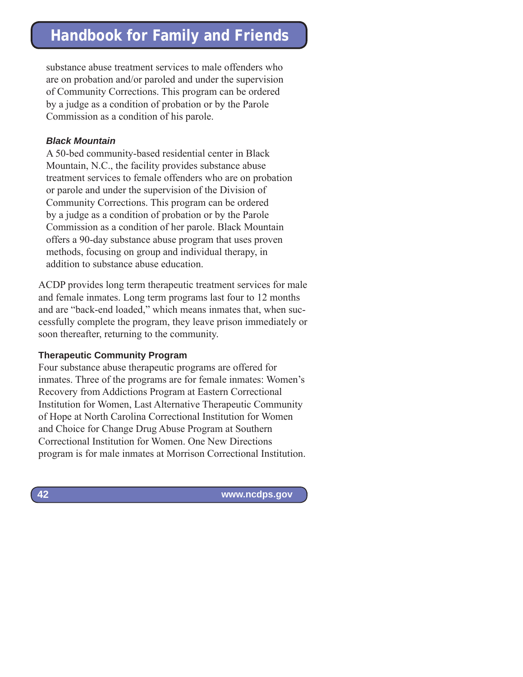substance abuse treatment services to male offenders who are on probation and/or paroled and under the supervision of Community Corrections. This program can be ordered by a judge as a condition of probation or by the Parole Commission as a condition of his parole.

### *Black Mountain*

A 50-bed community-based residential center in Black Mountain, N.C., the facility provides substance abuse treatment services to female offenders who are on probation or parole and under the supervision of the Division of Community Corrections. This program can be ordered by a judge as a condition of probation or by the Parole Commission as a condition of her parole. Black Mountain offers a 90-day substance abuse program that uses proven methods, focusing on group and individual therapy, in addition to substance abuse education.

ACDP provides long term therapeutic treatment services for male and female inmates. Long term programs last four to 12 months and are "back-end loaded," which means inmates that, when successfully complete the program, they leave prison immediately or soon thereafter, returning to the community.

### **Therapeutic Community Program**

Four substance abuse therapeutic programs are offered for inmates. Three of the programs are for female inmates: Women's Recovery from Addictions Program at Eastern Correctional Institution for Women, Last Alternative Therapeutic Community of Hope at North Carolina Correctional Institution for Women and Choice for Change Drug Abuse Program at Southern Correctional Institution for Women. One New Directions program is for male inmates at Morrison Correctional Institution.

 **www.ncdps.gov**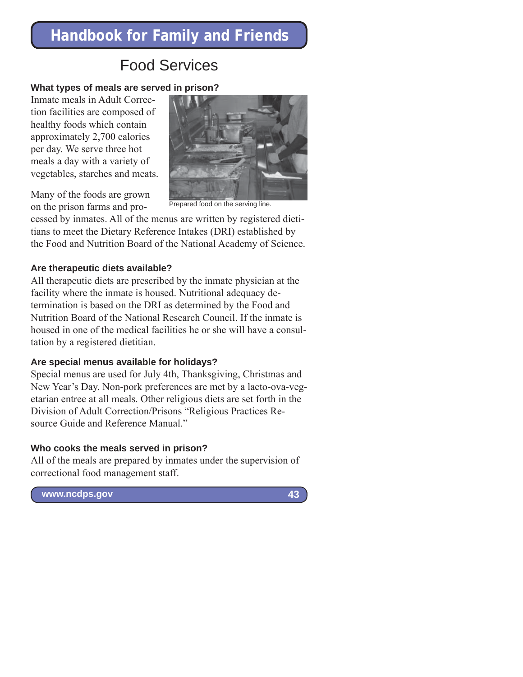## Food Services

### **What types of meals are served in prison?**

Inmate meals in Adult Correction facilities are composed of healthy foods which contain approximately 2,700 calories per day. We serve three hot meals a day with a variety of vegetables, starches and meats.



Many of the foods are grown on the prison farms and pro-

Prepared food on the serving line.

cessed by inmates. All of the menus are written by registered dietitians to meet the Dietary Reference Intakes (DRI) established by the Food and Nutrition Board of the National Academy of Science.

### **Are therapeutic diets available?**

All therapeutic diets are prescribed by the inmate physician at the facility where the inmate is housed. Nutritional adequacy determination is based on the DRI as determined by the Food and Nutrition Board of the National Research Council. If the inmate is housed in one of the medical facilities he or she will have a consultation by a registered dietitian.

### **Are special menus available for holidays?**

Special menus are used for July 4th, Thanksgiving, Christmas and New Year's Day. Non-pork preferences are met by a lacto-ova-vegetarian entree at all meals. Other religious diets are set forth in the Division of Adult Correction/Prisons "Religious Practices Resource Guide and Reference Manual."

### **Who cooks the meals served in prison?**

All of the meals are prepared by inmates under the supervision of correctional food management staff.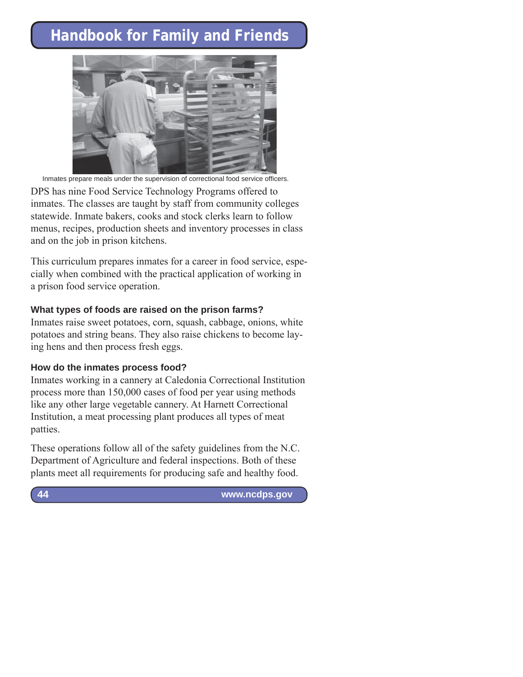

Inmates prepare meals under the supervision of correctional food service officers.

DPS has nine Food Service Technology Programs offered to inmates. The classes are taught by staff from community colleges statewide. Inmate bakers, cooks and stock clerks learn to follow menus, recipes, production sheets and inventory processes in class and on the job in prison kitchens.

This curriculum prepares inmates for a career in food service, especially when combined with the practical application of working in a prison food service operation.

#### **What types of foods are raised on the prison farms?**

Inmates raise sweet potatoes, corn, squash, cabbage, onions, white potatoes and string beans. They also raise chickens to become laying hens and then process fresh eggs.

#### **How do the inmates process food?**

Inmates working in a cannery at Caledonia Correctional Institution process more than 150,000 cases of food per year using methods like any other large vegetable cannery. At Harnett Correctional Institution, a meat processing plant produces all types of meat patties.

These operations follow all of the safety guidelines from the N.C. Department of Agriculture and federal inspections. Both of these plants meet all requirements for producing safe and healthy food.

 **www.ncdps.gov**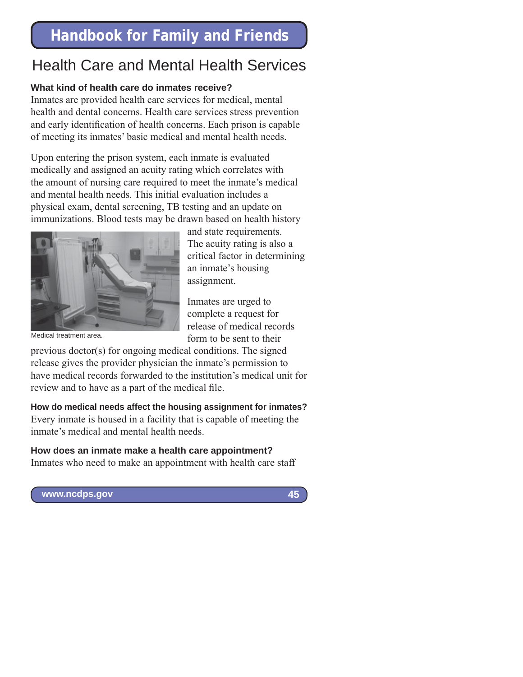# Health Care and Mental Health Services

### **What kind of health care do inmates receive?**

Inmates are provided health care services for medical, mental health and dental concerns. Health care services stress prevention and early identification of health concerns. Each prison is capable of meeting its inmates' basic medical and mental health needs.

Upon entering the prison system, each inmate is evaluated medically and assigned an acuity rating which correlates with the amount of nursing care required to meet the inmate's medical and mental health needs. This initial evaluation includes a physical exam, dental screening, TB testing and an update on immunizations. Blood tests may be drawn based on health history



and state requirements. The acuity rating is also a critical factor in determining an inmate's housing assignment.

Inmates are urged to complete a request for release of medical records form to be sent to their

Medical treatment area.

previous doctor(s) for ongoing medical conditions. The signed release gives the provider physician the inmate's permission to have medical records forwarded to the institution's medical unit for review and to have as a part of the medical file.

**How do medical needs affect the housing assignment for inmates?** Every inmate is housed in a facility that is capable of meeting the inmate's medical and mental health needs.

### **How does an inmate make a health care appointment?**

Inmates who need to make an appointment with health care staff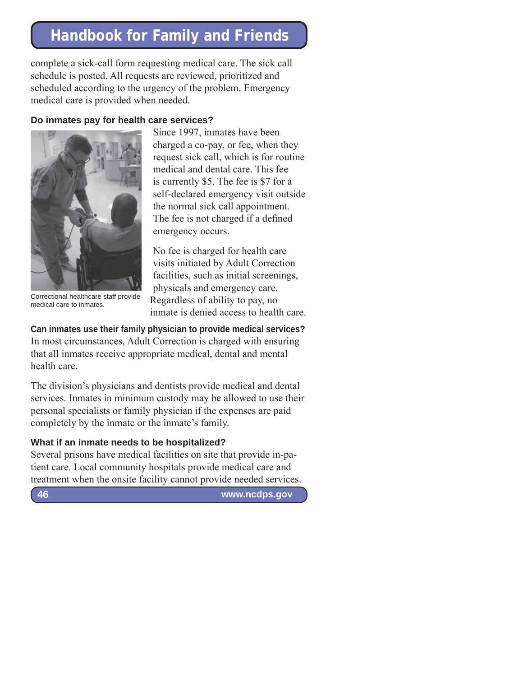complete a sick-call form requesting medical care. The sick call schedule is posted. All requests are reviewed, prioritized and scheduled according to the urgency of the problem. Emergency medical care is provided when needed.

#### **Do inmates pay for health care services?**



Since 1997, inmates have been charged a co-pay, or fee, when they request sick call, which is for routine medical and dental care. This fee is currently \$5. The fee is \$7 for a self-declared emergency visit outside the normal sick call appointment. The fee is not charged if a defined emergency occurs.

No fee is charged for health care visits initiated by Adult Correction facilities, such as initial screenings, physicals and emergency care. Regardless of ability to pay, no inmate is denied access to health care.

medical care to inmates.

**Can inmates use their family physician to provide medical services?** In most circumstances, Adult Correction is charged with ensuring that all inmates receive appropriate medical, dental and mental health care.

The division's physicians and dentists provide medical and dental services. Inmates in minimum custody may be allowed to use their personal specialists or family physician if the expenses are paid completely by the inmate or the inmate's family.

### **What if an inmate needs to be hospitalized?**

Several prisons have medical facilities on site that provide in-patient care. Local community hospitals provide medical care and treatment when the onsite facility cannot provide needed services.

**46**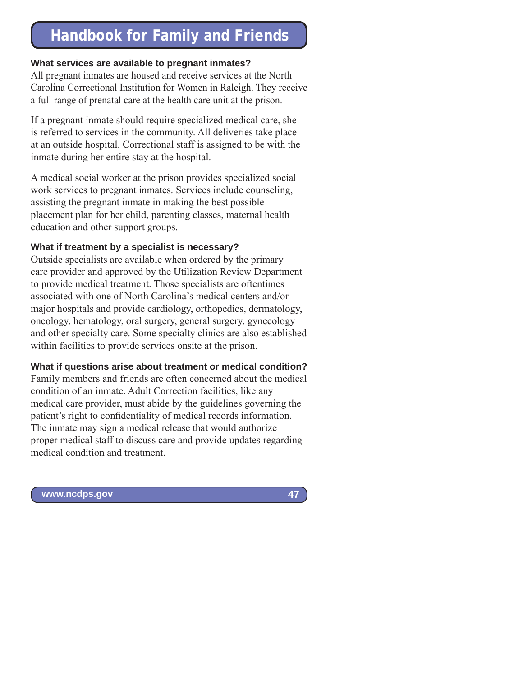### **What services are available to pregnant inmates?**

All pregnant inmates are housed and receive services at the North Carolina Correctional Institution for Women in Raleigh. They receive a full range of prenatal care at the health care unit at the prison.

If a pregnant inmate should require specialized medical care, she is referred to services in the community. All deliveries take place at an outside hospital. Correctional staff is assigned to be with the inmate during her entire stay at the hospital.

A medical social worker at the prison provides specialized social work services to pregnant inmates. Services include counseling, assisting the pregnant inmate in making the best possible placement plan for her child, parenting classes, maternal health education and other support groups.

#### **What if treatment by a specialist is necessary?**

Outside specialists are available when ordered by the primary care provider and approved by the Utilization Review Department to provide medical treatment. Those specialists are oftentimes associated with one of North Carolina's medical centers and/or major hospitals and provide cardiology, orthopedics, dermatology, oncology, hematology, oral surgery, general surgery, gynecology and other specialty care. Some specialty clinics are also established within facilities to provide services onsite at the prison.

#### **What if questions arise about treatment or medical condition?**

Family members and friends are often concerned about the medical condition of an inmate. Adult Correction facilities, like any medical care provider, must abide by the guidelines governing the patient's right to confidentiality of medical records information. The inmate may sign a medical release that would authorize proper medical staff to discuss care and provide updates regarding medical condition and treatment.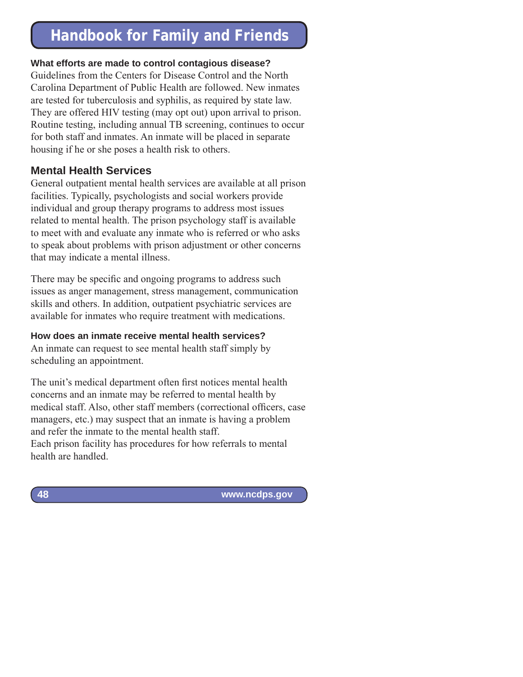### **What efforts are made to control contagious disease?**

Guidelines from the Centers for Disease Control and the North Carolina Department of Public Health are followed. New inmates are tested for tuberculosis and syphilis, as required by state law. They are offered HIV testing (may opt out) upon arrival to prison. Routine testing, including annual TB screening, continues to occur for both staff and inmates. An inmate will be placed in separate housing if he or she poses a health risk to others.

## **Mental Health Services**

General outpatient mental health services are available at all prison facilities. Typically, psychologists and social workers provide individual and group therapy programs to address most issues related to mental health. The prison psychology staff is available to meet with and evaluate any inmate who is referred or who asks to speak about problems with prison adjustment or other concerns that may indicate a mental illness.

There may be specific and ongoing programs to address such issues as anger management, stress management, communication skills and others. In addition, outpatient psychiatric services are available for inmates who require treatment with medications.

### **How does an inmate receive mental health services?**

An inmate can request to see mental health staff simply by scheduling an appointment.

The unit's medical department often first notices mental health concerns and an inmate may be referred to mental health by medical staff. Also, other staff members (correctional officers, case managers, etc.) may suspect that an inmate is having a problem and refer the inmate to the mental health staff. Each prison facility has procedures for how referrals to mental health are handled.

 **www.ncdps.gov**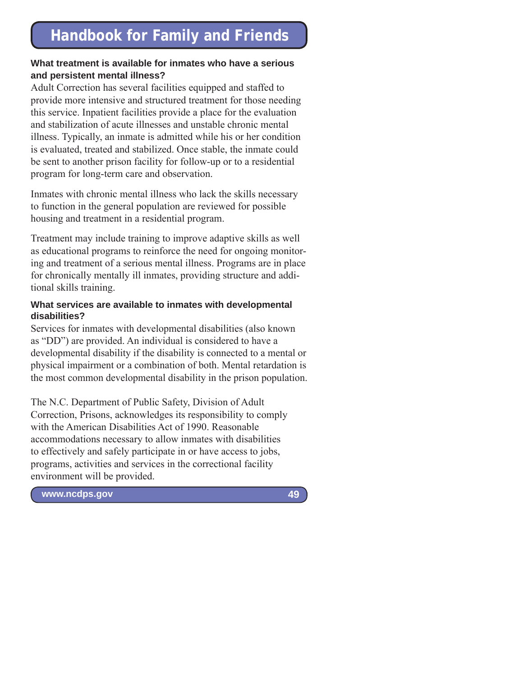### **What treatment is available for inmates who have a serious and persistent mental illness?**

Adult Correction has several facilities equipped and staffed to provide more intensive and structured treatment for those needing this service. Inpatient facilities provide a place for the evaluation and stabilization of acute illnesses and unstable chronic mental illness. Typically, an inmate is admitted while his or her condition is evaluated, treated and stabilized. Once stable, the inmate could be sent to another prison facility for follow-up or to a residential program for long-term care and observation.

Inmates with chronic mental illness who lack the skills necessary to function in the general population are reviewed for possible housing and treatment in a residential program.

Treatment may include training to improve adaptive skills as well as educational programs to reinforce the need for ongoing monitoring and treatment of a serious mental illness. Programs are in place for chronically mentally ill inmates, providing structure and additional skills training.

#### **What services are available to inmates with developmental disabilities?**

Services for inmates with developmental disabilities (also known as "DD") are provided. An individual is considered to have a developmental disability if the disability is connected to a mental or physical impairment or a combination of both. Mental retardation is the most common developmental disability in the prison population.

The N.C. Department of Public Safety, Division of Adult Correction, Prisons, acknowledges its responsibility to comply with the American Disabilities Act of 1990. Reasonable accommodations necessary to allow inmates with disabilities to effectively and safely participate in or have access to jobs, programs, activities and services in the correctional facility environment will be provided.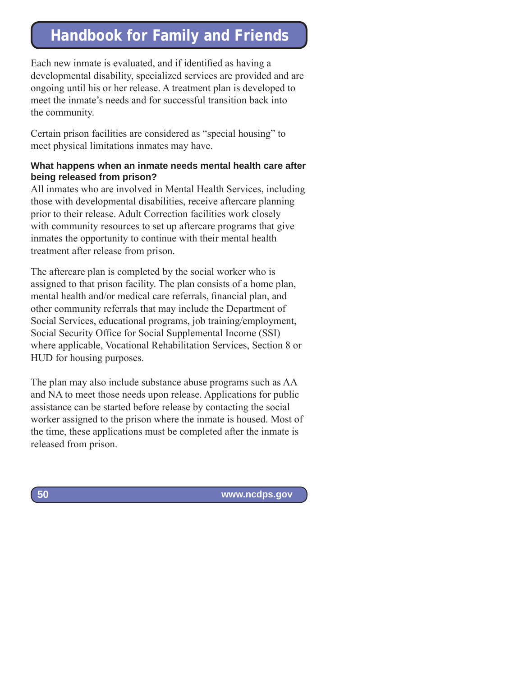Each new inmate is evaluated, and if identified as having a developmental disability, specialized services are provided and are ongoing until his or her release. A treatment plan is developed to meet the inmate's needs and for successful transition back into the community.

Certain prison facilities are considered as "special housing" to meet physical limitations inmates may have.

### **What happens when an inmate needs mental health care after being released from prison?**

All inmates who are involved in Mental Health Services, including those with developmental disabilities, receive aftercare planning prior to their release. Adult Correction facilities work closely with community resources to set up aftercare programs that give inmates the opportunity to continue with their mental health treatment after release from prison.

The aftercare plan is completed by the social worker who is assigned to that prison facility. The plan consists of a home plan, mental health and/or medical care referrals, financial plan, and other community referrals that may include the Department of Social Services, educational programs, job training/employment, Social Security Office for Social Supplemental Income (SSI) where applicable, Vocational Rehabilitation Services, Section 8 or HUD for housing purposes.

The plan may also include substance abuse programs such as AA and NA to meet those needs upon release. Applications for public assistance can be started before release by contacting the social worker assigned to the prison where the inmate is housed. Most of the time, these applications must be completed after the inmate is released from prison.

 **www.ncdps.gov**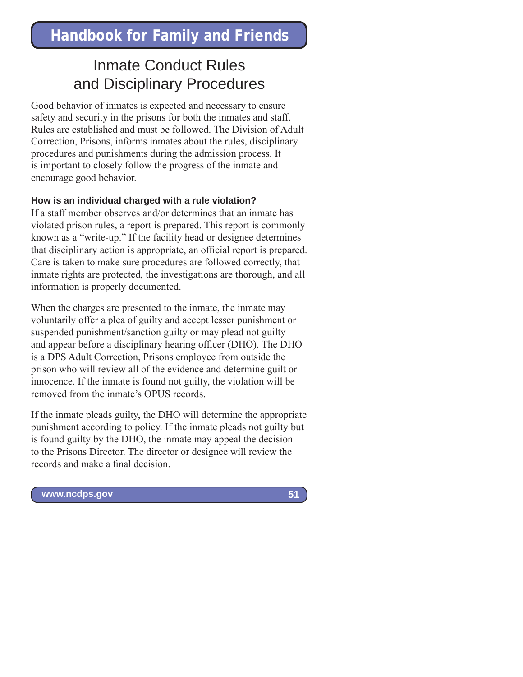## Inmate Conduct Rules and Disciplinary Procedures

Good behavior of inmates is expected and necessary to ensure safety and security in the prisons for both the inmates and staff. Rules are established and must be followed. The Division of Adult Correction, Prisons, informs inmates about the rules, disciplinary procedures and punishments during the admission process. It is important to closely follow the progress of the inmate and encourage good behavior.

#### **How is an individual charged with a rule violation?**

If a staff member observes and/or determines that an inmate has violated prison rules, a report is prepared. This report is commonly known as a "write-up." If the facility head or designee determines that disciplinary action is appropriate, an official report is prepared. Care is taken to make sure procedures are followed correctly, that inmate rights are protected, the investigations are thorough, and all information is properly documented.

When the charges are presented to the inmate, the inmate may voluntarily offer a plea of guilty and accept lesser punishment or suspended punishment/sanction guilty or may plead not guilty and appear before a disciplinary hearing officer (DHO). The DHO is a DPS Adult Correction, Prisons employee from outside the prison who will review all of the evidence and determine guilt or innocence. If the inmate is found not guilty, the violation will be removed from the inmate's OPUS records.

If the inmate pleads guilty, the DHO will determine the appropriate punishment according to policy. If the inmate pleads not guilty but is found guilty by the DHO, the inmate may appeal the decision to the Prisons Director. The director or designee will review the records and make a final decision.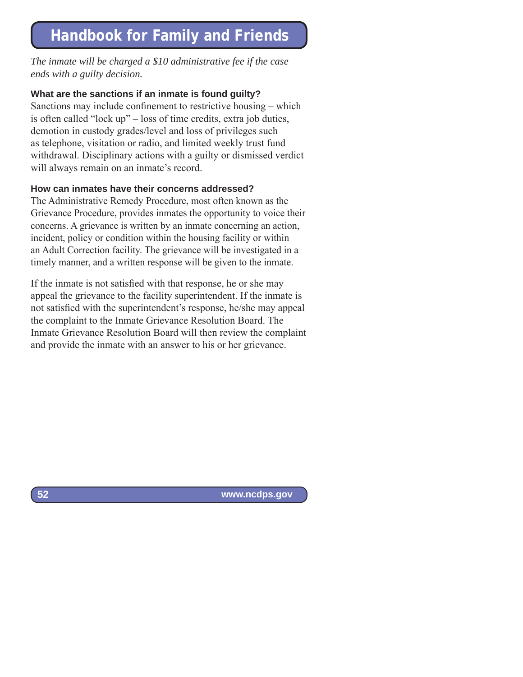*The inmate will be charged a \$10 administrative fee if the case ends with a guilty decision.*

### **What are the sanctions if an inmate is found guilty?**

Sanctions may include confinement to restrictive housing  $-$  which is often called "lock up" – loss of time credits, extra job duties, demotion in custody grades/level and loss of privileges such as telephone, visitation or radio, and limited weekly trust fund withdrawal. Disciplinary actions with a guilty or dismissed verdict will always remain on an inmate's record.

### **How can inmates have their concerns addressed?**

The Administrative Remedy Procedure, most often known as the Grievance Procedure, provides inmates the opportunity to voice their concerns. A grievance is written by an inmate concerning an action, incident, policy or condition within the housing facility or within an Adult Correction facility. The grievance will be investigated in a timely manner, and a written response will be given to the inmate.

If the inmate is not satisfied with that response, he or she may appeal the grievance to the facility superintendent. If the inmate is not satisfied with the superintendent's response, he/she may appeal the complaint to the Inmate Grievance Resolution Board. The Inmate Grievance Resolution Board will then review the complaint and provide the inmate with an answer to his or her grievance.

 **www.ncdps.gov**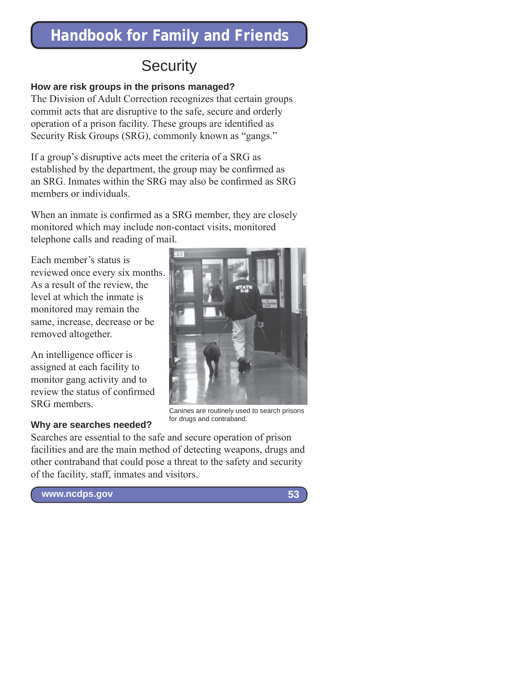# **Security**

## **How are risk groups in the prisons managed?**

The Division of Adult Correction recognizes that certain groups commit acts that are disruptive to the safe, secure and orderly operation of a prison facility. These groups are identified as Security Risk Groups (SRG), commonly known as "gangs."

If a group's disruptive acts meet the criteria of a SRG as established by the department, the group may be confirmed as an SRG. Inmates within the SRG may also be confirmed as SRG members or individuals.

When an inmate is confirmed as a SRG member, they are closely monitored which may include non-contact visits, monitored telephone calls and reading of mail.

Each member's status is reviewed once every six months. As a result of the review, the level at which the inmate is monitored may remain the same, increase, decrease or be removed altogether.

An intelligence officer is assigned at each facility to monitor gang activity and to review the status of confirmed SRG members.

### **Why are searches needed?**



Canines are routinely used to search prisons for drugs and contraband.

Searches are essential to the safe and secure operation of prison facilities and are the main method of detecting weapons, drugs and other contraband that could pose a threat to the safety and security of the facility, staff, inmates and visitors.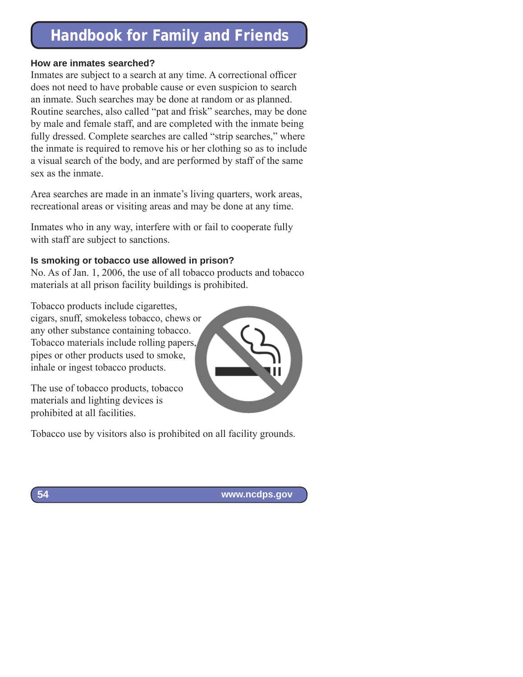#### **How are inmates searched?**

Inmates are subject to a search at any time. A correctional officer does not need to have probable cause or even suspicion to search an inmate. Such searches may be done at random or as planned. Routine searches, also called "pat and frisk" searches, may be done by male and female staff, and are completed with the inmate being fully dressed. Complete searches are called "strip searches," where the inmate is required to remove his or her clothing so as to include a visual search of the body, and are performed by staff of the same sex as the inmate.

Area searches are made in an inmate's living quarters, work areas, recreational areas or visiting areas and may be done at any time.

Inmates who in any way, interfere with or fail to cooperate fully with staff are subject to sanctions.

### **Is smoking or tobacco use allowed in prison?**

No. As of Jan. 1, 2006, the use of all tobacco products and tobacco materials at all prison facility buildings is prohibited.

Tobacco products include cigarettes, cigars, snuff, smokeless tobacco, chews or any other substance containing tobacco. Tobacco materials include rolling papers, pipes or other products used to smoke, inhale or ingest tobacco products.

The use of tobacco products, tobacco materials and lighting devices is prohibited at all facilities.



Tobacco use by visitors also is prohibited on all facility grounds.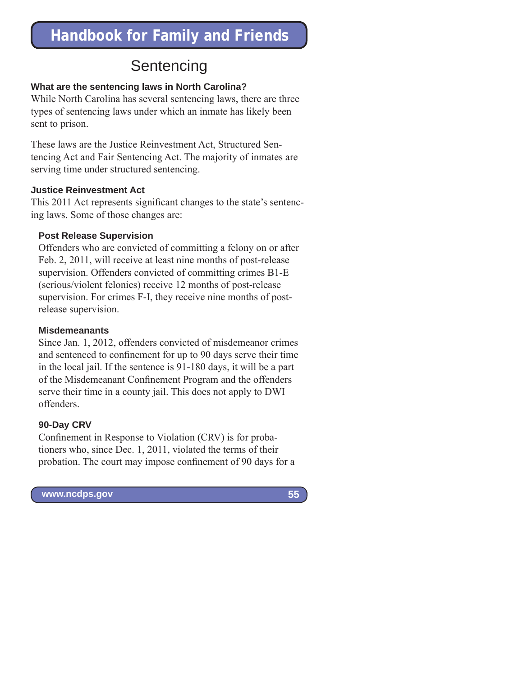# **Sentencing**

### **What are the sentencing laws in North Carolina?**

While North Carolina has several sentencing laws, there are three types of sentencing laws under which an inmate has likely been sent to prison.

These laws are the Justice Reinvestment Act, Structured Sentencing Act and Fair Sentencing Act. The majority of inmates are serving time under structured sentencing.

### **Justice Reinvestment Act**

This 2011 Act represents significant changes to the state's sentencing laws. Some of those changes are:

## **Post Release Supervision**

Offenders who are convicted of committing a felony on or after Feb. 2, 2011, will receive at least nine months of post-release supervision. Offenders convicted of committing crimes B1-E (serious/violent felonies) receive 12 months of post-release supervision. For crimes F-I, they receive nine months of postrelease supervision.

## **Misdemeanants**

Since Jan. 1, 2012, offenders convicted of misdemeanor crimes and sentenced to confinement for up to 90 days serve their time in the local jail. If the sentence is 91-180 days, it will be a part of the Misdemeanant Confinement Program and the offenders serve their time in a county jail. This does not apply to DWI offenders.

## **90-Day CRV**

Confinement in Response to Violation (CRV) is for probationers who, since Dec. 1, 2011, violated the terms of their probation. The court may impose confinement of 90 days for a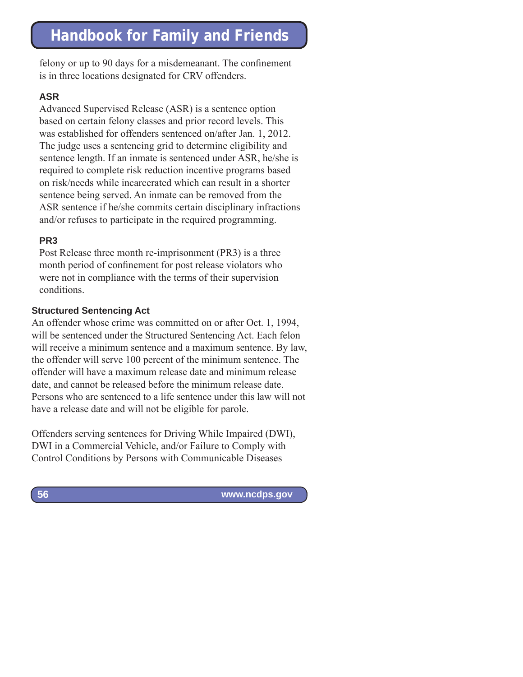felony or up to 90 days for a misdemeanant. The confinement is in three locations designated for CRV offenders.

### **ASR**

Advanced Supervised Release (ASR) is a sentence option based on certain felony classes and prior record levels. This was established for offenders sentenced on/after Jan. 1, 2012. The judge uses a sentencing grid to determine eligibility and sentence length. If an inmate is sentenced under ASR, he/she is required to complete risk reduction incentive programs based on risk/needs while incarcerated which can result in a shorter sentence being served. An inmate can be removed from the ASR sentence if he/she commits certain disciplinary infractions and/or refuses to participate in the required programming.

## **PR3**

Post Release three month re-imprisonment (PR3) is a three month period of confinement for post release violators who were not in compliance with the terms of their supervision conditions.

### **Structured Sentencing Act**

An offender whose crime was committed on or after Oct. 1, 1994, will be sentenced under the Structured Sentencing Act. Each felon will receive a minimum sentence and a maximum sentence. By law, the offender will serve 100 percent of the minimum sentence. The offender will have a maximum release date and minimum release date, and cannot be released before the minimum release date. Persons who are sentenced to a life sentence under this law will not have a release date and will not be eligible for parole.

Offenders serving sentences for Driving While Impaired (DWI), DWI in a Commercial Vehicle, and/or Failure to Comply with Control Conditions by Persons with Communicable Diseases

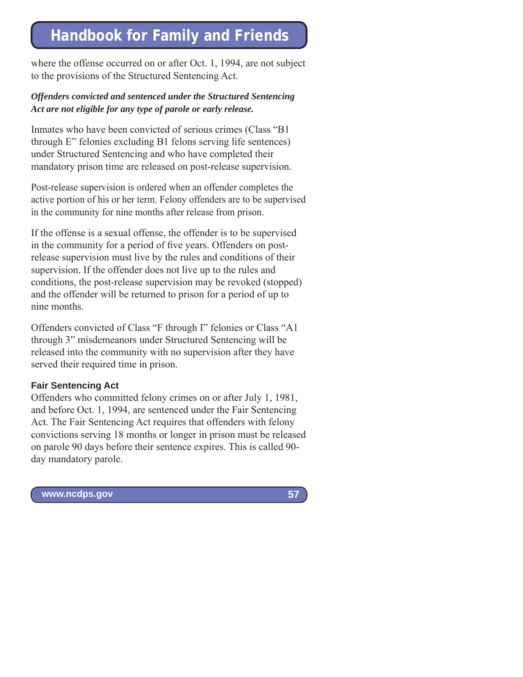where the offense occurred on or after Oct. 1, 1994, are not subject to the provisions of the Structured Sentencing Act.

### *Offenders convicted and sentenced under the Structured Sentencing Act are not eligible for any type of parole or early release.*

Inmates who have been convicted of serious crimes (Class "B1 through E" felonies excluding B1 felons serving life sentences) under Structured Sentencing and who have completed their mandatory prison time are released on post-release supervision.

Post-release supervision is ordered when an offender completes the active portion of his or her term. Felony offenders are to be supervised in the community for nine months after release from prison.

If the offense is a sexual offense, the offender is to be supervised in the community for a period of five years. Offenders on postrelease supervision must live by the rules and conditions of their supervision. If the offender does not live up to the rules and conditions, the post-release supervision may be revoked (stopped) and the offender will be returned to prison for a period of up to nine months.

Offenders convicted of Class "F through I" felonies or Class "A1 through 3" misdemeanors under Structured Sentencing will be released into the community with no supervision after they have served their required time in prison.

#### **Fair Sentencing Act**

Offenders who committed felony crimes on or after July 1, 1981, and before Oct. 1, 1994, are sentenced under the Fair Sentencing Act. The Fair Sentencing Act requires that offenders with felony convictions serving 18 months or longer in prison must be released on parole 90 days before their sentence expires. This is called 90 day mandatory parole.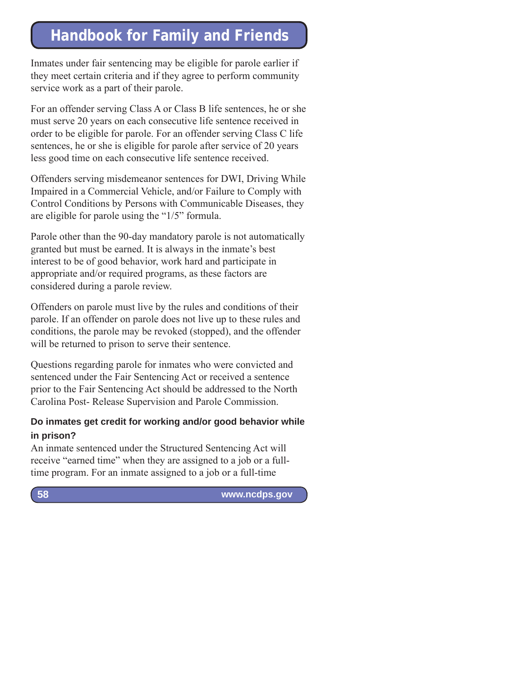Inmates under fair sentencing may be eligible for parole earlier if they meet certain criteria and if they agree to perform community service work as a part of their parole.

For an offender serving Class A or Class B life sentences, he or she must serve 20 years on each consecutive life sentence received in order to be eligible for parole. For an offender serving Class C life sentences, he or she is eligible for parole after service of 20 years less good time on each consecutive life sentence received.

Offenders serving misdemeanor sentences for DWI, Driving While Impaired in a Commercial Vehicle, and/or Failure to Comply with Control Conditions by Persons with Communicable Diseases, they are eligible for parole using the "1/5" formula.

Parole other than the 90-day mandatory parole is not automatically granted but must be earned. It is always in the inmate's best interest to be of good behavior, work hard and participate in appropriate and/or required programs, as these factors are considered during a parole review.

Offenders on parole must live by the rules and conditions of their parole. If an offender on parole does not live up to these rules and conditions, the parole may be revoked (stopped), and the offender will be returned to prison to serve their sentence.

Questions regarding parole for inmates who were convicted and sentenced under the Fair Sentencing Act or received a sentence prior to the Fair Sentencing Act should be addressed to the North Carolina Post- Release Supervision and Parole Commission.

## **Do inmates get credit for working and/or good behavior while in prison?**

An inmate sentenced under the Structured Sentencing Act will receive "earned time" when they are assigned to a job or a fulltime program. For an inmate assigned to a job or a full-time

 **www.ncdps.gov**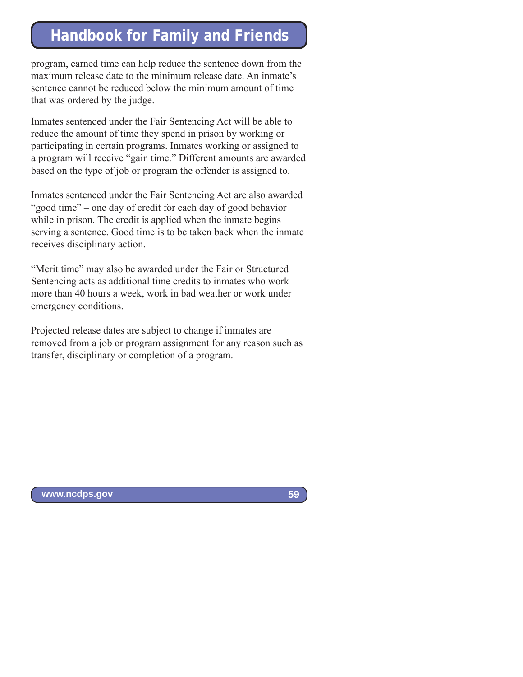program, earned time can help reduce the sentence down from the maximum release date to the minimum release date. An inmate's sentence cannot be reduced below the minimum amount of time that was ordered by the judge.

Inmates sentenced under the Fair Sentencing Act will be able to reduce the amount of time they spend in prison by working or participating in certain programs. Inmates working or assigned to a program will receive "gain time." Different amounts are awarded based on the type of job or program the offender is assigned to.

Inmates sentenced under the Fair Sentencing Act are also awarded "good time" – one day of credit for each day of good behavior while in prison. The credit is applied when the inmate begins serving a sentence. Good time is to be taken back when the inmate receives disciplinary action.

"Merit time" may also be awarded under the Fair or Structured Sentencing acts as additional time credits to inmates who work more than 40 hours a week, work in bad weather or work under emergency conditions.

Projected release dates are subject to change if inmates are removed from a job or program assignment for any reason such as transfer, disciplinary or completion of a program.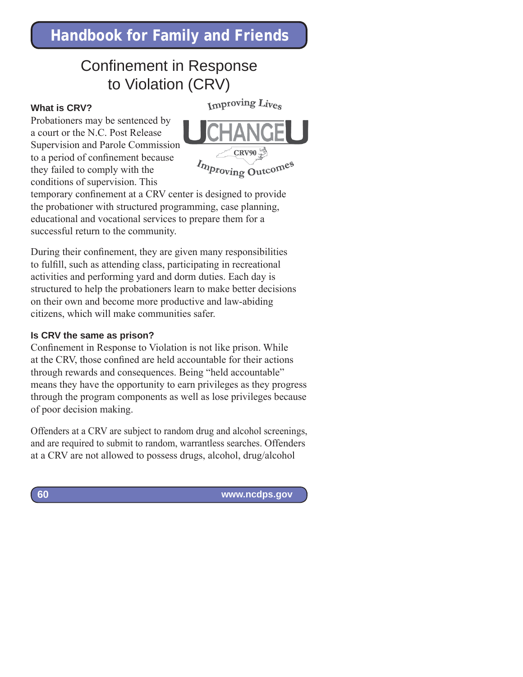## Confinement in Response to Violation (CRV)

#### **What is CRV?**

Improving Lives





temporary confinement at a CRV center is designed to provide the probationer with structured programming, case planning, educational and vocational services to prepare them for a successful return to the community.

During their confinement, they are given many responsibilities to fulfill, such as attending class, participating in recreational activities and performing yard and dorm duties. Each day is structured to help the probationers learn to make better decisions on their own and become more productive and law-abiding citizens, which will make communities safer.

#### **Is CRV the same as prison?**

Confinement in Response to Violation is not like prison. While at the CRV, those confined are held accountable for their actions through rewards and consequences. Being "held accountable" means they have the opportunity to earn privileges as they progress through the program components as well as lose privileges because of poor decision making.

Offenders at a CRV are subject to random drug and alcohol screenings, and are required to submit to random, warrantless searches. Offenders at a CRV are not allowed to possess drugs, alcohol, drug/alcohol

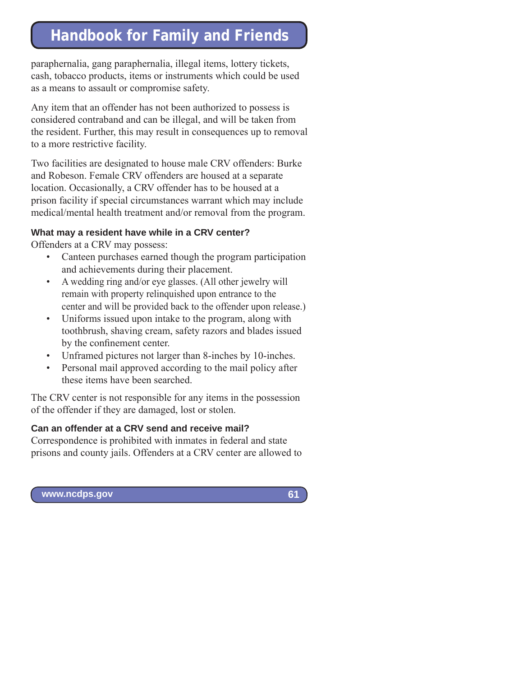paraphernalia, gang paraphernalia, illegal items, lottery tickets, cash, tobacco products, items or instruments which could be used as a means to assault or compromise safety.

Any item that an offender has not been authorized to possess is considered contraband and can be illegal, and will be taken from the resident. Further, this may result in consequences up to removal to a more restrictive facility.

Two facilities are designated to house male CRV offenders: Burke and Robeson. Female CRV offenders are housed at a separate location. Occasionally, a CRV offender has to be housed at a prison facility if special circumstances warrant which may include medical/mental health treatment and/or removal from the program.

### **What may a resident have while in a CRV center?**

Offenders at a CRV may possess:

- Canteen purchases earned though the program participation and achievements during their placement.
- A wedding ring and/or eye glasses. (All other jewelry will remain with property relinquished upon entrance to the center and will be provided back to the offender upon release.)
- Uniforms issued upon intake to the program, along with toothbrush, shaving cream, safety razors and blades issued by the confinement center.
- Unframed pictures not larger than 8-inches by 10-inches.
- Personal mail approved according to the mail policy after these items have been searched.

The CRV center is not responsible for any items in the possession of the offender if they are damaged, lost or stolen.

### **Can an offender at a CRV send and receive mail?**

Correspondence is prohibited with inmates in federal and state prisons and county jails. Offenders at a CRV center are allowed to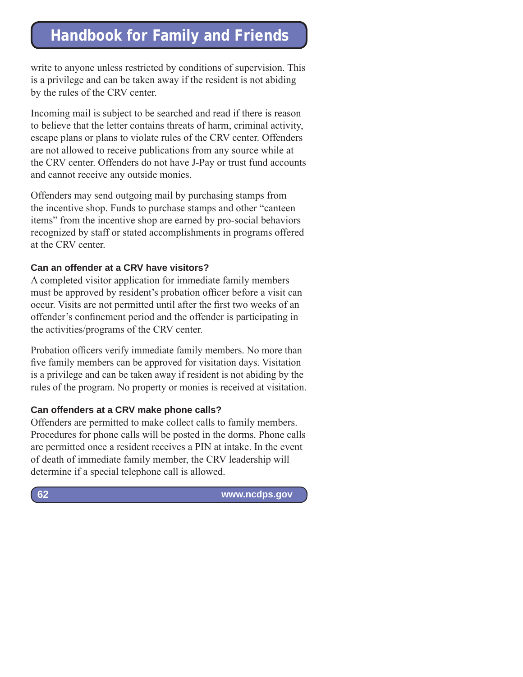write to anyone unless restricted by conditions of supervision. This is a privilege and can be taken away if the resident is not abiding by the rules of the CRV center.

Incoming mail is subject to be searched and read if there is reason to believe that the letter contains threats of harm, criminal activity, escape plans or plans to violate rules of the CRV center. Offenders are not allowed to receive publications from any source while at the CRV center. Offenders do not have J-Pay or trust fund accounts and cannot receive any outside monies.

Offenders may send outgoing mail by purchasing stamps from the incentive shop. Funds to purchase stamps and other "canteen items" from the incentive shop are earned by pro-social behaviors recognized by staff or stated accomplishments in programs offered at the CRV center.

### **Can an offender at a CRV have visitors?**

A completed visitor application for immediate family members must be approved by resident's probation officer before a visit can occur. Visits are not permitted until after the first two weeks of an offender's confinement period and the offender is participating in the activities/programs of the CRV center.

Probation officers verify immediate family members. No more than five family members can be approved for visitation days. Visitation is a privilege and can be taken away if resident is not abiding by the rules of the program. No property or monies is received at visitation.

### **Can offenders at a CRV make phone calls?**

Offenders are permitted to make collect calls to family members. Procedures for phone calls will be posted in the dorms. Phone calls are permitted once a resident receives a PIN at intake. In the event of death of immediate family member, the CRV leadership will determine if a special telephone call is allowed.

 **www.ncdps.gov**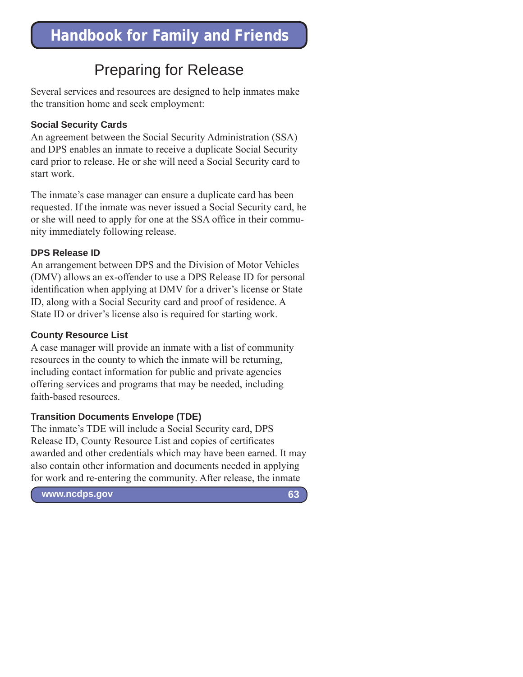## Preparing for Release

Several services and resources are designed to help inmates make the transition home and seek employment:

### **Social Security Cards**

An agreement between the Social Security Administration (SSA) and DPS enables an inmate to receive a duplicate Social Security card prior to release. He or she will need a Social Security card to start work.

The inmate's case manager can ensure a duplicate card has been requested. If the inmate was never issued a Social Security card, he or she will need to apply for one at the SSA office in their community immediately following release.

### **DPS Release ID**

An arrangement between DPS and the Division of Motor Vehicles (DMV) allows an ex-offender to use a DPS Release ID for personal identification when applying at DMV for a driver's license or State ID, along with a Social Security card and proof of residence. A State ID or driver's license also is required for starting work.

### **County Resource List**

A case manager will provide an inmate with a list of community resources in the county to which the inmate will be returning, including contact information for public and private agencies offering services and programs that may be needed, including faith-based resources.

### **Transition Documents Envelope (TDE)**

The inmate's TDE will include a Social Security card, DPS Release ID, County Resource List and copies of certificates awarded and other credentials which may have been earned. It may also contain other information and documents needed in applying for work and re-entering the community. After release, the inmate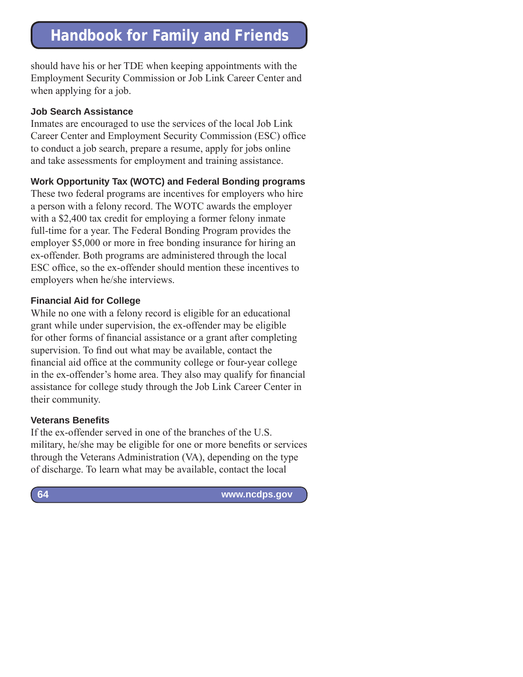should have his or her TDE when keeping appointments with the Employment Security Commission or Job Link Career Center and when applying for a job.

### **Job Search Assistance**

Inmates are encouraged to use the services of the local Job Link Career Center and Employment Security Commission (ESC) office to conduct a job search, prepare a resume, apply for jobs online and take assessments for employment and training assistance.

## **Work Opportunity Tax (WOTC) and Federal Bonding programs**

These two federal programs are incentives for employers who hire a person with a felony record. The WOTC awards the employer with a \$2,400 tax credit for employing a former felony inmate full-time for a year. The Federal Bonding Program provides the employer \$5,000 or more in free bonding insurance for hiring an ex-offender. Both programs are administered through the local ESC office, so the ex-offender should mention these incentives to employers when he/she interviews.

## **Financial Aid for College**

While no one with a felony record is eligible for an educational grant while under supervision, the ex-offender may be eligible for other forms of financial assistance or a grant after completing supervision. To find out what may be available, contact the financial aid office at the community college or four-year college in the ex-offender's home area. They also may qualify for financial assistance for college study through the Job Link Career Center in their community.

### **Veterans Benefits**

If the ex-offender served in one of the branches of the U.S. military, he/she may be eligible for one or more benefits or services through the Veterans Administration (VA), depending on the type of discharge. To learn what may be available, contact the local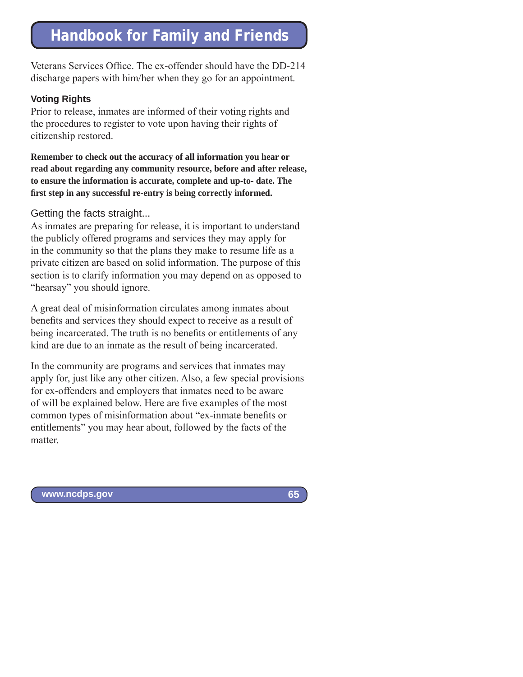Veterans Services Office. The ex-offender should have the DD-214 discharge papers with him/her when they go for an appointment.

#### **Voting Rights**

Prior to release, inmates are informed of their voting rights and the procedures to register to vote upon having their rights of citizenship restored.

**Remember to check out the accuracy of all information you hear or read about regarding any community resource, before and after release, to ensure the information is accurate, complete and up-to- date. The first step in any successful re-entry is being correctly informed.**

### Getting the facts straight...

As inmates are preparing for release, it is important to understand the publicly offered programs and services they may apply for in the community so that the plans they make to resume life as a private citizen are based on solid information. The purpose of this section is to clarify information you may depend on as opposed to "hearsay" you should ignore.

A great deal of misinformation circulates among inmates about benefits and services they should expect to receive as a result of being incarcerated. The truth is no benefits or entitlements of any kind are due to an inmate as the result of being incarcerated.

In the community are programs and services that inmates may apply for, just like any other citizen. Also, a few special provisions for ex-offenders and employers that inmates need to be aware of will be explained below. Here are five examples of the most common types of misinformation about "ex-inmate benefits or entitlements" you may hear about, followed by the facts of the matter.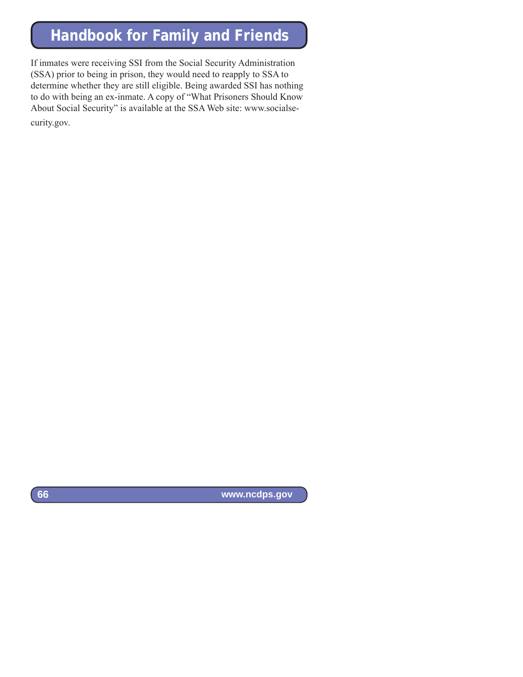If inmates were receiving SSI from the Social Security Administration (SSA) prior to being in prison, they would need to reapply to SSA to determine whether they are still eligible. Being awarded SSI has nothing to do with being an ex-inmate. A copy of "What Prisoners Should Know About Social Security" is available at the SSA Web site: www.socialsecurity.gov.

 **www.ncdps.gov**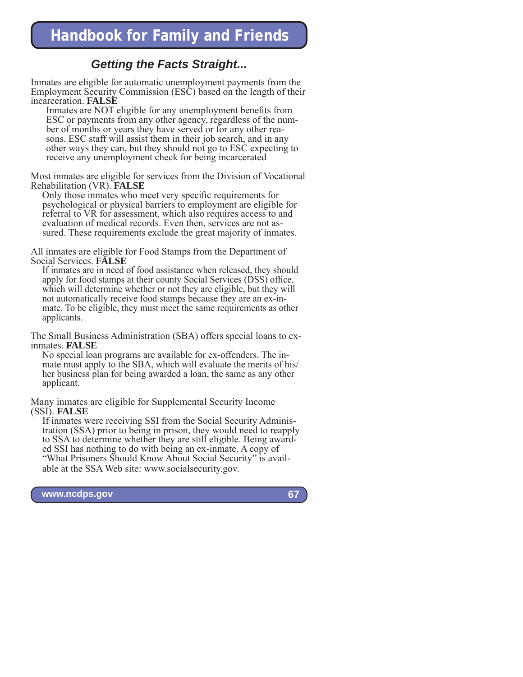## *Getting the Facts Straight...*

Inmates are eligible for automatic unemployment payments from the Employment Security Commission (ESC) based on the length of their incarceration. **FALSE**

Inmates are NOT eligible for any unemployment benefits from ESC or payments from any other agency, regardless of the number of months or years they have served or for any other reasons. ESC staff will assist them in their job search, and in any other ways they can, but they should not go to ESC expecting to receive any unemployment check for being incarcerated

Most inmates are eligible for services from the Division of Vocational Rehabilitation (VR). **FALSE**

Only those inmates who meet very specific requirements for psychological or physical barriers to employment are eligible for referral to VR for assessment, which also requires access to and evaluation of medical records. Even then, services are not assured. These requirements exclude the great majority of inmates.

All inmates are eligible for Food Stamps from the Department of Social Services. **FALSE**

If inmates are in need of food assistance when released, they should apply for food stamps at their county Social Services (DSS) office, which will determine whether or not they are eligible, but they will not automatically receive food stamps because they are an ex-inmate. To be eligible, they must meet the same requirements as other applicants.

The Small Business Administration (SBA) offers special loans to exinmates. **FALSE**

No special loan programs are available for ex-offenders. The inmate must apply to the SBA, which will evaluate the merits of his/ her business plan for being awarded a loan, the same as any other applicant.

Many inmates are eligible for Supplemental Security Income (SSI). **FALSE**

If inmates were receiving SSI from the Social Security Administration (SSA) prior to being in prison, they would need to reapply to SSA to determine whether they are still eligible. Being awarded SSI has nothing to do with being an ex-inmate. A copy of "What Prisoners Should Know About Social Security" is available at the SSA Web site: www.socialsecurity.gov.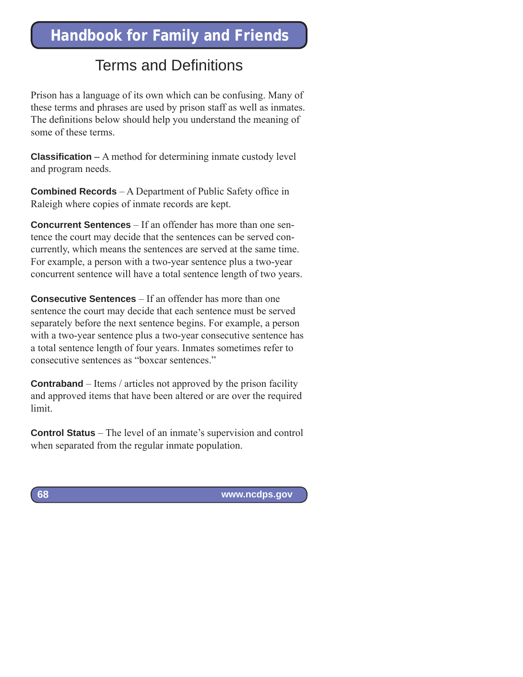## Terms and Definitions

Prison has a language of its own which can be confusing. Many of these terms and phrases are used by prison staff as well as inmates. The definitions below should help you understand the meaning of some of these terms.

**Classification** – A method for determining inmate custody level and program needs.

**Combined Records** – A Department of Public Safety office in Raleigh where copies of inmate records are kept.

**Concurrent Sentences** – If an offender has more than one sentence the court may decide that the sentences can be served concurrently, which means the sentences are served at the same time. For example, a person with a two-year sentence plus a two-year concurrent sentence will have a total sentence length of two years.

**Consecutive Sentences** – If an offender has more than one sentence the court may decide that each sentence must be served separately before the next sentence begins. For example, a person with a two-year sentence plus a two-year consecutive sentence has a total sentence length of four years. Inmates sometimes refer to consecutive sentences as "boxcar sentences."

**Contraband** – Items / articles not approved by the prison facility and approved items that have been altered or are over the required limit.

**Control Status** – The level of an inmate's supervision and control when separated from the regular inmate population.

**68**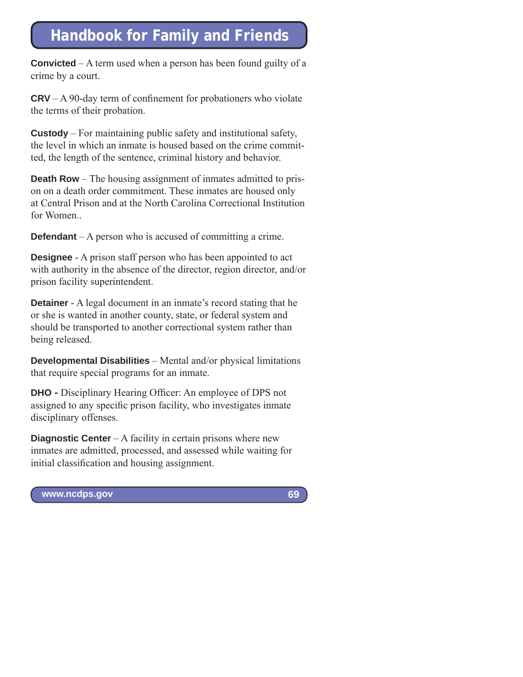**Convicted** – A term used when a person has been found guilty of a crime by a court.

 $CRV - A$  90-day term of confinement for probationers who violate the terms of their probation.

**Custody** – For maintaining public safety and institutional safety, the level in which an inmate is housed based on the crime committed, the length of the sentence, criminal history and behavior.

**Death Row** – The housing assignment of inmates admitted to prison on a death order commitment. These inmates are housed only at Central Prison and at the North Carolina Correctional Institution for Women.

**Defendant** – A person who is accused of committing a crime.

**Designee** - A prison staff person who has been appointed to act with authority in the absence of the director, region director, and/or prison facility superintendent.

**Detainer** - A legal document in an inmate's record stating that he or she is wanted in another county, state, or federal system and should be transported to another correctional system rather than being released.

**Developmental Disabilities** – Mental and/or physical limitations that require special programs for an inmate.

**DHO -** Disciplinary Hearing Officer: An employee of DPS not assigned to any specific prison facility, who investigates inmate disciplinary offenses.

**Diagnostic Center** – A facility in certain prisons where new inmates are admitted, processed, and assessed while waiting for initial classification and housing assignment.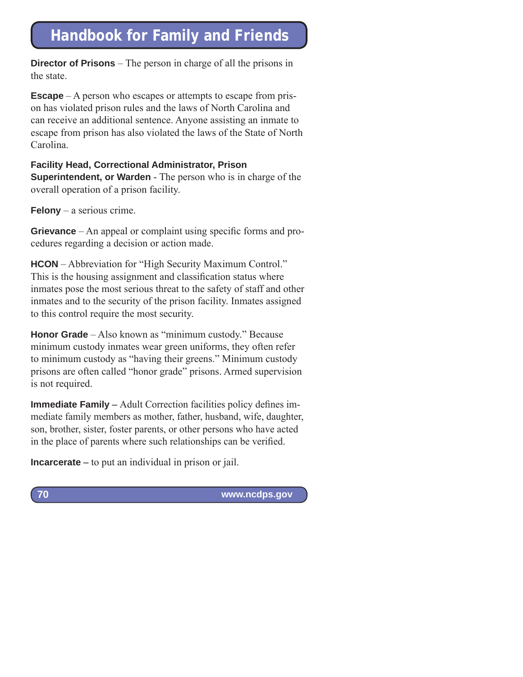**Director of Prisons** – The person in charge of all the prisons in the state.

**Escape** – A person who escapes or attempts to escape from prison has violated prison rules and the laws of North Carolina and can receive an additional sentence. Anyone assisting an inmate to escape from prison has also violated the laws of the State of North Carolina.

## **Facility Head, Correctional Administrator, Prison**

**Superintendent, or Warden** - The person who is in charge of the overall operation of a prison facility.

**Felony** – a serious crime.

**Grievance** – An appeal or complaint using specific forms and procedures regarding a decision or action made.

**HCON** – Abbreviation for "High Security Maximum Control." This is the housing assignment and classification status where inmates pose the most serious threat to the safety of staff and other inmates and to the security of the prison facility. Inmates assigned to this control require the most security.

**Honor Grade** – Also known as "minimum custody." Because minimum custody inmates wear green uniforms, they often refer to minimum custody as "having their greens." Minimum custody prisons are often called "honor grade" prisons. Armed supervision is not required.

**Immediate Family –** Adult Correction facilities policy defines immediate family members as mother, father, husband, wife, daughter, son, brother, sister, foster parents, or other persons who have acted in the place of parents where such relationships can be verified.

**Incarcerate –** to put an individual in prison or jail.

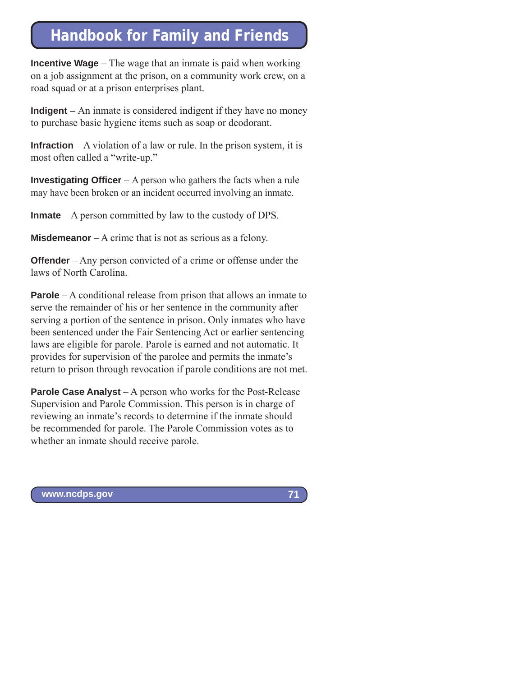**Incentive Wage** – The wage that an inmate is paid when working on a job assignment at the prison, on a community work crew, on a road squad or at a prison enterprises plant.

**Indigent** – An inmate is considered indigent if they have no money to purchase basic hygiene items such as soap or deodorant.

**Infraction** – A violation of a law or rule. In the prison system, it is most often called a "write-up."

**Investigating Officer** – A person who gathers the facts when a rule may have been broken or an incident occurred involving an inmate.

**Inmate** – A person committed by law to the custody of DPS.

**Misdemeanor** – A crime that is not as serious as a felony.

**Offender** – Any person convicted of a crime or offense under the laws of North Carolina.

**Parole** – A conditional release from prison that allows an inmate to serve the remainder of his or her sentence in the community after serving a portion of the sentence in prison. Only inmates who have been sentenced under the Fair Sentencing Act or earlier sentencing laws are eligible for parole. Parole is earned and not automatic. It provides for supervision of the parolee and permits the inmate's return to prison through revocation if parole conditions are not met.

**Parole Case Analyst** – A person who works for the Post-Release Supervision and Parole Commission. This person is in charge of reviewing an inmate's records to determine if the inmate should be recommended for parole. The Parole Commission votes as to whether an inmate should receive parole.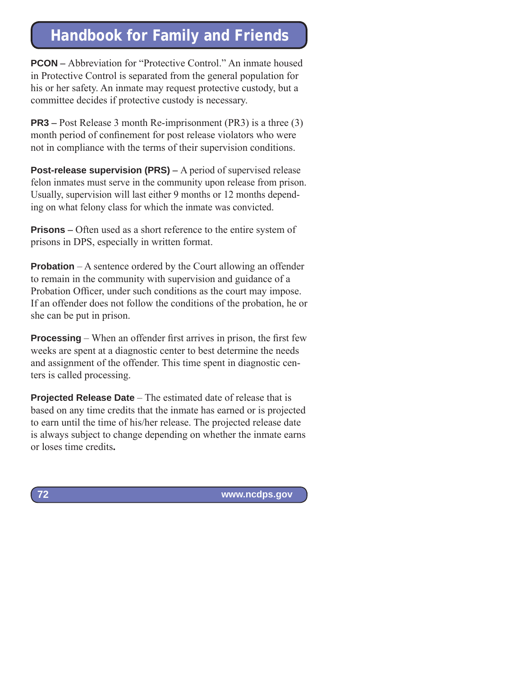**PCON** – Abbreviation for "Protective Control." An inmate housed in Protective Control is separated from the general population for his or her safety. An inmate may request protective custody, but a committee decides if protective custody is necessary.

**PR3** – Post Release 3 month Re-imprisonment (PR3) is a three (3) month period of confinement for post release violators who were not in compliance with the terms of their supervision conditions.

**Post-release supervision (PRS)** – A period of supervised release felon inmates must serve in the community upon release from prison. Usually, supervision will last either 9 months or 12 months depending on what felony class for which the inmate was convicted.

**Prisons** – Often used as a short reference to the entire system of prisons in DPS, especially in written format.

**Probation** – A sentence ordered by the Court allowing an offender to remain in the community with supervision and guidance of a Probation Officer, under such conditions as the court may impose. If an offender does not follow the conditions of the probation, he or she can be put in prison.

**Processing** – When an offender first arrives in prison, the first few weeks are spent at a diagnostic center to best determine the needs and assignment of the offender. This time spent in diagnostic centers is called processing.

**Projected Release Date** – The estimated date of release that is based on any time credits that the inmate has earned or is projected to earn until the time of his/her release. The projected release date is always subject to change depending on whether the inmate earns or loses time credits**.**

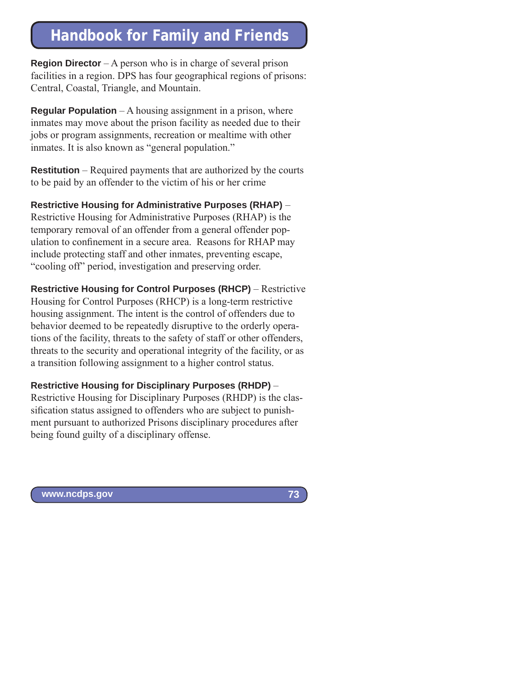**Region Director** – A person who is in charge of several prison facilities in a region. DPS has four geographical regions of prisons: Central, Coastal, Triangle, and Mountain.

**Regular Population** – A housing assignment in a prison, where inmates may move about the prison facility as needed due to their jobs or program assignments, recreation or mealtime with other inmates. It is also known as "general population."

**Restitution** – Required payments that are authorized by the courts to be paid by an offender to the victim of his or her crime

**Restrictive Housing for Administrative Purposes (RHAP)** – Restrictive Housing for Administrative Purposes (RHAP) is the temporary removal of an offender from a general offender population to confinement in a secure area. Reasons for RHAP may include protecting staff and other inmates, preventing escape, "cooling off" period, investigation and preserving order.

**Restrictive Housing for Control Purposes (RHCP)** – Restrictive Housing for Control Purposes (RHCP) is a long-term restrictive housing assignment. The intent is the control of offenders due to behavior deemed to be repeatedly disruptive to the orderly operations of the facility, threats to the safety of staff or other offenders, threats to the security and operational integrity of the facility, or as a transition following assignment to a higher control status.

**Restrictive Housing for Disciplinary Purposes (RHDP)** – Restrictive Housing for Disciplinary Purposes (RHDP) is the classification status assigned to offenders who are subject to punishment pursuant to authorized Prisons disciplinary procedures after being found guilty of a disciplinary offense.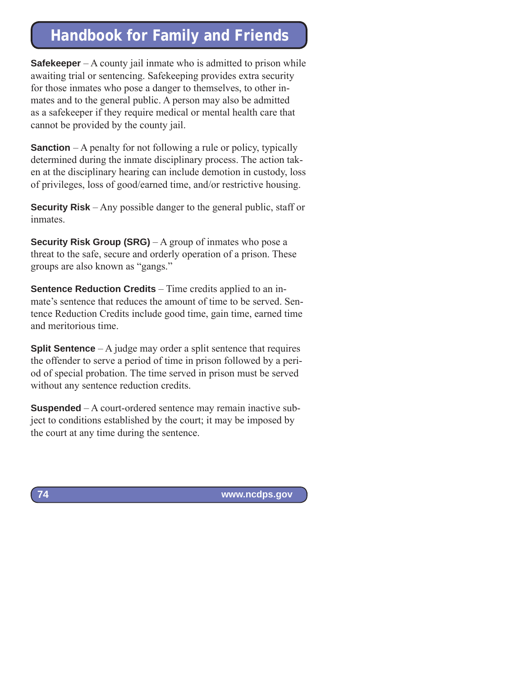**Safekeeper** – A county jail inmate who is admitted to prison while awaiting trial or sentencing. Safekeeping provides extra security for those inmates who pose a danger to themselves, to other inmates and to the general public. A person may also be admitted as a safekeeper if they require medical or mental health care that cannot be provided by the county jail.

**Sanction** – A penalty for not following a rule or policy, typically determined during the inmate disciplinary process. The action taken at the disciplinary hearing can include demotion in custody, loss of privileges, loss of good/earned time, and/or restrictive housing.

**Security Risk** – Any possible danger to the general public, staff or inmates.

**Security Risk Group (SRG)** – A group of inmates who pose a threat to the safe, secure and orderly operation of a prison. These groups are also known as "gangs."

**Sentence Reduction Credits** – Time credits applied to an inmate's sentence that reduces the amount of time to be served. Sentence Reduction Credits include good time, gain time, earned time and meritorious time.

**Split Sentence** – A judge may order a split sentence that requires the offender to serve a period of time in prison followed by a period of special probation. The time served in prison must be served without any sentence reduction credits.

**Suspended** – A court-ordered sentence may remain inactive subject to conditions established by the court; it may be imposed by the court at any time during the sentence.

 **www.ncdps.gov**

**74**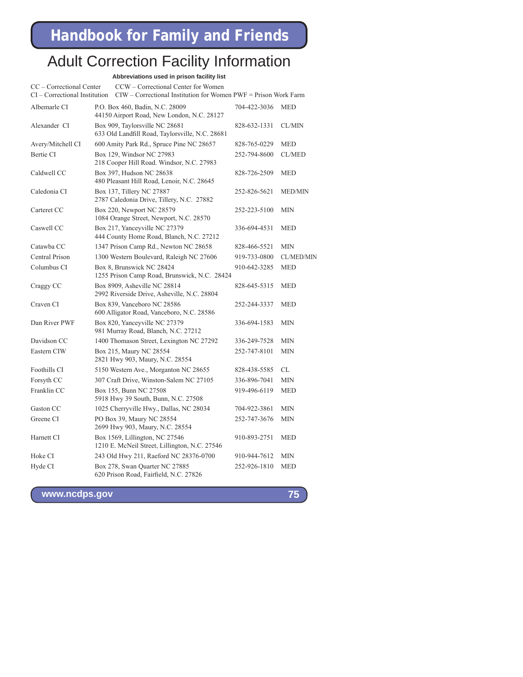### Adult Correction Facility Information

**Abbreviations used in prison facility list**

CC – Correctional Center CCW – Correctional Center for Women

| $CI$ – Correctional Institution CIW – Correctional Institution for Women PWF = Prison Work Farm |  |
|-------------------------------------------------------------------------------------------------|--|
|-------------------------------------------------------------------------------------------------|--|

| Albemarle CI      | P.O. Box 460, Badin, N.C. 28009<br>44150 Airport Road, New London, N.C. 28127     | 704-422-3036 | <b>MED</b>        |
|-------------------|-----------------------------------------------------------------------------------|--------------|-------------------|
| Alexander CI      | Box 909, Taylorsville NC 28681<br>633 Old Landfill Road, Taylorsville, N.C. 28681 | 828-632-1331 | CL/MIN            |
| Avery/Mitchell CI | 600 Amity Park Rd., Spruce Pine NC 28657                                          | 828-765-0229 | MED               |
| Bertie CI         | Box 129, Windsor NC 27983<br>218 Cooper Hill Road. Windsor, N.C. 27983            | 252-794-8600 | CL/MED            |
| Caldwell CC       | Box 397, Hudson NC 28638<br>480 Pleasant Hill Road, Lenoir, N.C. 28645            | 828-726-2509 | <b>MED</b>        |
| Caledonia CI      | Box 137, Tillery NC 27887<br>2787 Caledonia Drive, Tillery, N.C. 27882            | 252-826-5621 | <b>MED/MIN</b>    |
| Carteret CC       | Box 220, Newport NC 28579<br>1084 Orange Street, Newport, N.C. 28570              | 252-223-5100 | <b>MIN</b>        |
| Caswell CC        | Box 217, Yanceyville NC 27379<br>444 County Home Road, Blanch, N.C. 27212         | 336-694-4531 | <b>MED</b>        |
| Catawba CC        | 1347 Prison Camp Rd., Newton NC 28658                                             | 828-466-5521 | <b>MIN</b>        |
| Central Prison    | 1300 Western Boulevard, Raleigh NC 27606                                          | 919-733-0800 | <b>CL/MED/MIN</b> |
| Columbus CI       | Box 8, Brunswick NC 28424<br>1255 Prison Camp Road, Brunswick, N.C. 28424         | 910-642-3285 | <b>MED</b>        |
| Craggy CC         | Box 8909, Asheville NC 28814<br>2992 Riverside Drive, Asheville, N.C. 28804       | 828-645-5315 | <b>MED</b>        |
| Craven CI         | Box 839, Vanceboro NC 28586<br>600 Alligator Road, Vanceboro, N.C. 28586          | 252-244-3337 | <b>MED</b>        |
| Dan River PWF     | Box 820, Yanceyville NC 27379<br>981 Murray Road, Blanch, N.C. 27212              | 336-694-1583 | <b>MIN</b>        |
| Davidson CC       | 1400 Thomason Street, Lexington NC 27292                                          | 336-249-7528 | <b>MIN</b>        |
| Eastern CIW       | Box 215, Maury NC 28554<br>2821 Hwy 903, Maury, N.C. 28554                        | 252-747-8101 | <b>MIN</b>        |
| Foothills CI      | 5150 Western Ave., Morganton NC 28655                                             | 828-438-5585 | CL                |
| Forsyth CC        | 307 Craft Drive, Winston-Salem NC 27105                                           | 336-896-7041 | <b>MIN</b>        |
| Franklin CC       | Box 155, Bunn NC 27508<br>5918 Hwy 39 South, Bunn, N.C. 27508                     | 919-496-6119 | <b>MED</b>        |
| Gaston CC         | 1025 Cherryville Hwy., Dallas, NC 28034                                           | 704-922-3861 | MIN               |
| Greene CI         | PO Box 39, Maury NC 28554<br>2699 Hwy 903, Maury, N.C. 28554                      | 252-747-3676 | <b>MIN</b>        |
| Harnett CI        | Box 1569, Lillington, NC 27546<br>1210 E. McNeil Street, Lillington, N.C. 27546   | 910-893-2751 | <b>MED</b>        |
| Hoke CI           | 243 Old Hwy 211, Raeford NC 28376-0700                                            | 910-944-7612 | <b>MIN</b>        |
| Hyde CI           | Box 278, Swan Quarter NC 27885<br>620 Prison Road, Fairfield, N.C. 27826          | 252-926-1810 | <b>MED</b>        |
|                   |                                                                                   |              |                   |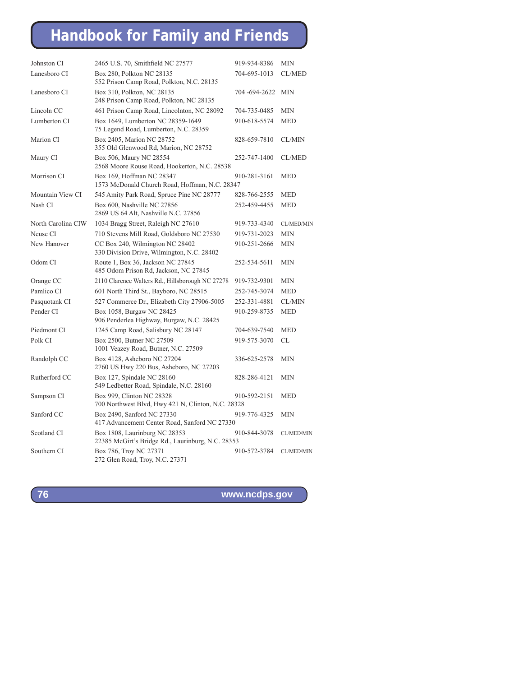| Johnston CI        | 2465 U.S. 70, Smithfield NC 27577                                                  | 919-934-8386 | <b>MIN</b>        |
|--------------------|------------------------------------------------------------------------------------|--------------|-------------------|
| Lanesboro CI       | Box 280, Polkton NC 28135<br>552 Prison Camp Road, Polkton, N.C. 28135             | 704-695-1013 | <b>CL/MED</b>     |
| Lanesboro CI       | Box 310, Polkton, NC 28135<br>248 Prison Camp Road, Polkton, NC 28135              | 704-694-2622 | <b>MIN</b>        |
| Lincoln CC         | 461 Prison Camp Road, Lincolnton, NC 28092                                         | 704-735-0485 | <b>MIN</b>        |
| Lumberton CI       | Box 1649, Lumberton NC 28359-1649<br>75 Legend Road, Lumberton, N.C. 28359         | 910-618-5574 | <b>MED</b>        |
| Marion CI          | Box 2405, Marion NC 28752<br>355 Old Glenwood Rd, Marion, NC 28752                 | 828-659-7810 | CL/MIN            |
| Maury CI           | Box 506, Maury NC 28554<br>2568 Moore Rouse Road, Hookerton, N.C. 28538            | 252-747-1400 | <b>CL/MED</b>     |
| Morrison CI        | Box 169, Hoffman NC 28347<br>1573 McDonald Church Road, Hoffman, N.C. 28347        | 910-281-3161 | <b>MED</b>        |
| Mountain View CI   | 545 Amity Park Road, Spruce Pine NC 28777                                          | 828-766-2555 | <b>MED</b>        |
| Nash CI            | Box 600, Nashville NC 27856<br>2869 US 64 Alt, Nashville N.C. 27856                | 252-459-4455 | <b>MED</b>        |
| North Carolina CIW | 1034 Bragg Street, Raleigh NC 27610                                                | 919-733-4340 | <b>CL/MED/MIN</b> |
| Neuse CI           | 710 Stevens Mill Road, Goldsboro NC 27530                                          | 919-731-2023 | <b>MIN</b>        |
| New Hanover        | CC Box 240, Wilmington NC 28402<br>330 Division Drive, Wilmington, N.C. 28402      | 910-251-2666 | <b>MIN</b>        |
| Odom CI            | Route 1, Box 36, Jackson NC 27845<br>485 Odom Prison Rd, Jackson, NC 27845         | 252-534-5611 | <b>MIN</b>        |
| Orange CC          | 2110 Clarence Walters Rd., Hillsborough NC 27278                                   | 919-732-9301 | <b>MIN</b>        |
| Pamlico CI         | 601 North Third St., Bayboro, NC 28515                                             | 252-745-3074 | <b>MED</b>        |
| Pasquotank CI      | 527 Commerce Dr., Elizabeth City 27906-5005                                        | 252-331-4881 | CL/MIN            |
| Pender CI          | Box 1058, Burgaw NC 28425<br>906 Penderlea Highway, Burgaw, N.C. 28425             | 910-259-8735 | <b>MED</b>        |
| Piedmont CI        | 1245 Camp Road, Salisbury NC 28147                                                 | 704-639-7540 | <b>MED</b>        |
| Polk CI            | Box 2500, Butner NC 27509<br>1001 Veazey Road, Butner, N.C. 27509                  | 919-575-3070 | CL                |
| Randolph CC        | Box 4128, Asheboro NC 27204<br>2760 US Hwy 220 Bus, Asheboro, NC 27203             | 336-625-2578 | <b>MIN</b>        |
| Rutherford CC      | Box 127, Spindale NC 28160<br>549 Ledbetter Road, Spindale, N.C. 28160             | 828-286-4121 | <b>MIN</b>        |
| Sampson CI         | Box 999, Clinton NC 28328<br>700 Northwest Blvd, Hwy 421 N, Clinton, N.C. 28328    | 910-592-2151 | <b>MED</b>        |
| Sanford CC         | Box 2490, Sanford NC 27330<br>417 Advancement Center Road, Sanford NC 27330        | 919-776-4325 | <b>MIN</b>        |
| Scotland CI        | Box 1808, Laurinburg NC 28353<br>22385 McGirt's Bridge Rd., Laurinburg, N.C. 28353 | 910-844-3078 | CL/MED/MIN        |
| Southern CI        | Box 786, Troy NC 27371<br>272 Glen Road, Troy, N.C. 27371                          | 910-572-3784 | CL/MED/MIN        |

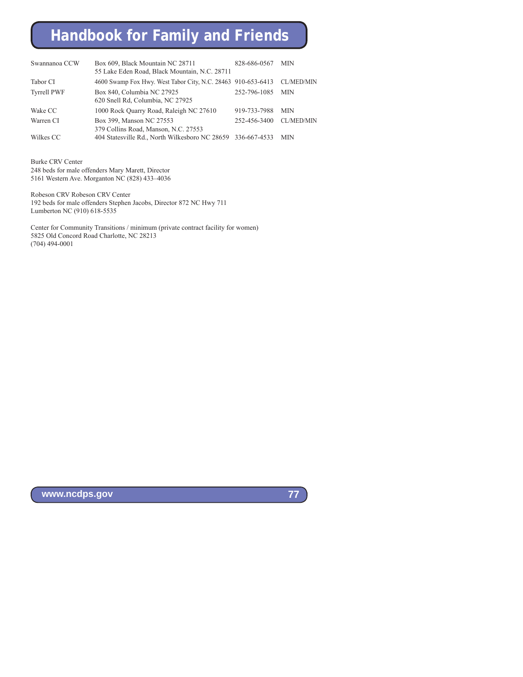| Swannanoa CCW      | Box 609, Black Mountain NC 28711                                 | 828-686-0567 | <b>MIN</b>        |
|--------------------|------------------------------------------------------------------|--------------|-------------------|
|                    | 55 Lake Eden Road, Black Mountain, N.C. 28711                    |              |                   |
| Tabor CI           | 4600 Swamp Fox Hwy. West Tabor City, N.C. 28463 910-653-6413     |              | CL/MED/MIN        |
| <b>Tyrrell PWF</b> | Box 840, Columbia NC 27925<br>620 Snell Rd, Columbia, NC 27925   | 252-796-1085 | <b>MIN</b>        |
| Wake CC            | 1000 Rock Quarry Road, Raleigh NC 27610                          | 919-733-7988 | <b>MIN</b>        |
| Warren CI          | Box 399, Manson NC 27553<br>379 Collins Road, Manson, N.C. 27553 | 252-456-3400 | <b>CL/MED/MIN</b> |
| Wilkes CC          | 404 Statesville Rd., North Wilkesboro NC 28659 336-667-4533      |              | <b>MIN</b>        |

Burke CRV Center 248 beds for male offenders Mary Marett, Director 5161 Western Ave. Morganton NC (828) 433–4036

Robeson CRV Robeson CRV Center 192 beds for male offenders Stephen Jacobs, Director 872 NC Hwy 711 Lumberton NC (910) 618-5535

Center for Community Transitions / minimum (private contract facility for women) 5825 Old Concord Road Charlotte, NC 28213 (704) 494-0001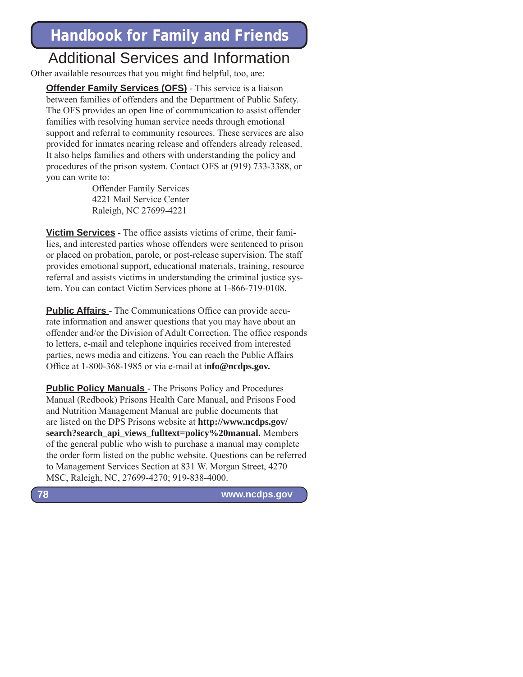### Additional Services and Information

Other available resources that you might find helpful, too, are:

**Offender Family Services (OFS)** - This service is a liaison between families of offenders and the Department of Public Safety. The OFS provides an open line of communication to assist offender families with resolving human service needs through emotional support and referral to community resources. These services are also provided for inmates nearing release and offenders already released. It also helps families and others with understanding the policy and procedures of the prison system. Contact OFS at (919) 733-3388, or you can write to:

> Offender Family Services 4221 Mail Service Center Raleigh, NC 27699-4221

**Victim Services** - The office assists victims of crime, their families, and interested parties whose offenders were sentenced to prison or placed on probation, parole, or post-release supervision. The staff provides emotional support, educational materials, training, resource referral and assists victims in understanding the criminal justice system. You can contact Victim Services phone at 1-866-719-0108.

**Public Affairs** - The Communications Office can provide accurate information and answer questions that you may have about an offender and/or the Division of Adult Correction. The office responds to letters, e-mail and telephone inquiries received from interested parties, news media and citizens. You can reach the Public Affairs Office at 1-800-368-1985 or via e-mail at info@ncdps.gov.

**Public Policy Manuals** - The Prisons Policy and Procedures Manual (Redbook) Prisons Health Care Manual, and Prisons Food and Nutrition Management Manual are public documents that are listed on the DPS Prisons website at **http://www.ncdps.gov/ search?search\_api\_views\_fulltext=policy%20manual.** Members of the general public who wish to purchase a manual may complete the order form listed on the public website. Questions can be referred to Management Services Section at 831 W. Morgan Street, 4270 MSC, Raleigh, NC, 27699-4270; 919-838-4000.

 **www.ncdps.gov**

**78**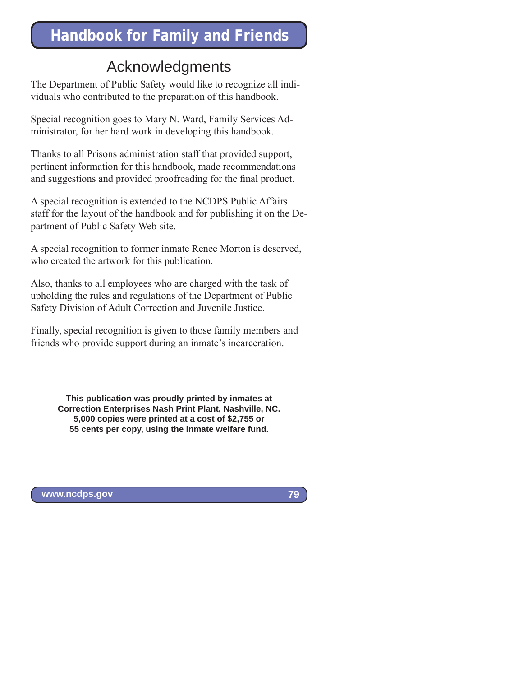### Acknowledgments

The Department of Public Safety would like to recognize all individuals who contributed to the preparation of this handbook.

Special recognition goes to Mary N. Ward, Family Services Administrator, for her hard work in developing this handbook.

Thanks to all Prisons administration staff that provided support, pertinent information for this handbook, made recommendations and suggestions and provided proofreading for the final product.

A special recognition is extended to the NCDPS Public Affairs staff for the layout of the handbook and for publishing it on the Department of Public Safety Web site.

A special recognition to former inmate Renee Morton is deserved, who created the artwork for this publication.

Also, thanks to all employees who are charged with the task of upholding the rules and regulations of the Department of Public Safety Division of Adult Correction and Juvenile Justice.

Finally, special recognition is given to those family members and friends who provide support during an inmate's incarceration.

> **This publication was proudly printed by inmates at Correction Enterprises Nash Print Plant, Nashville, NC. 5,000 copies were printed at a cost of \$2,755 or 55 cents per copy, using the inmate welfare fund.**